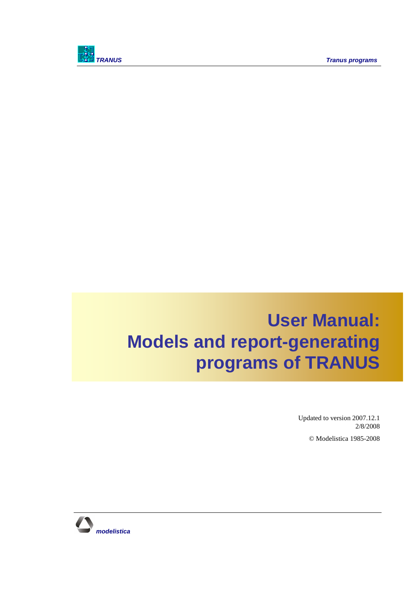

**TRANUS Tranus programs**

# **User Manual: Models and report-generating programs of TRANUS**

Updated to version 2007.12.1 2/8/2008 © Modelistica 1985-2008

 $\color{red}\blacktriangle$ **modelistica**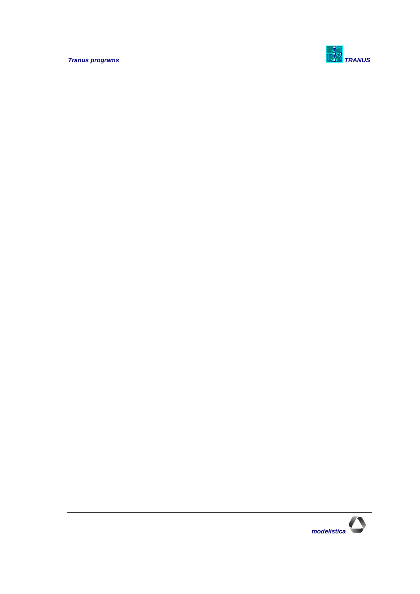

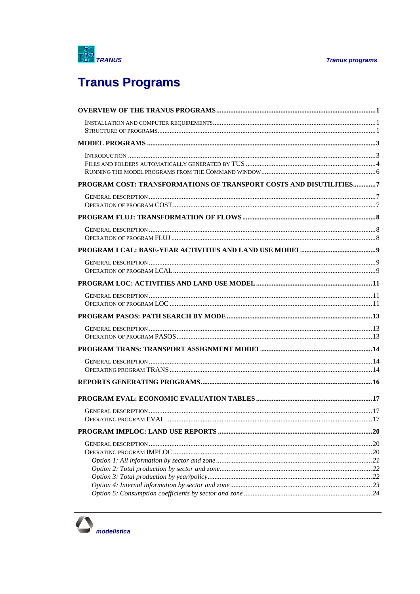

## **Tranus Programs**

| PROGRAM COST: TRANSFORMATIONS OF TRANSPORT COSTS AND DISUTILITIES7 |  |
|--------------------------------------------------------------------|--|
|                                                                    |  |
|                                                                    |  |
|                                                                    |  |
|                                                                    |  |
|                                                                    |  |
|                                                                    |  |
|                                                                    |  |
|                                                                    |  |
|                                                                    |  |
|                                                                    |  |
|                                                                    |  |
|                                                                    |  |
|                                                                    |  |
|                                                                    |  |
|                                                                    |  |
|                                                                    |  |
|                                                                    |  |
|                                                                    |  |
|                                                                    |  |
|                                                                    |  |
|                                                                    |  |
|                                                                    |  |
|                                                                    |  |
|                                                                    |  |
|                                                                    |  |
|                                                                    |  |
|                                                                    |  |
|                                                                    |  |
|                                                                    |  |

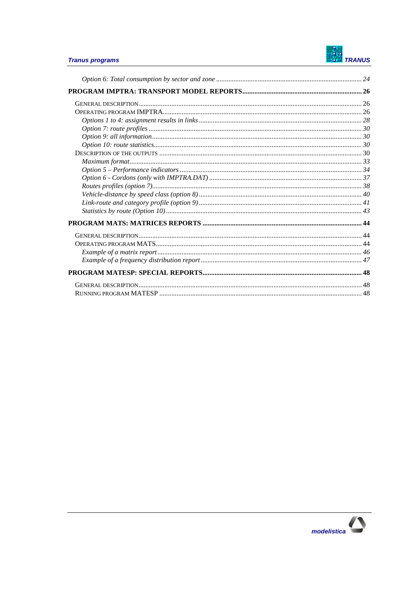# ust.<br>Bast tranus

![](_page_3_Picture_3.jpeg)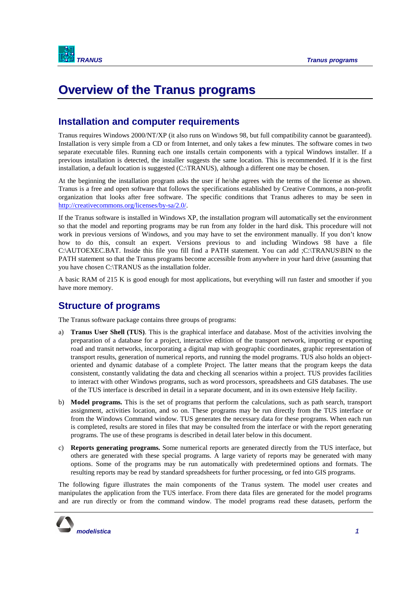![](_page_4_Picture_1.jpeg)

### **Overview of the Tranus programs**

#### **Installation and computer requirements**

Tranus requires Windows 2000/NT/XP (it also runs on Windows 98, but full compatibility cannot be guaranteed). Installation is very simple from a CD or from Internet, and only takes a few minutes. The software comes in two separate executable files. Running each one installs certain components with a typical Windows installer. If a previous installation is detected, the installer suggests the same location. This is recommended. If it is the first installation, a default location is suggested (C:\TRANUS), although a different one may be chosen.

At the beginning the installation program asks the user if he/she agrees with the terms of the license as shown. Tranus is a free and open software that follows the specifications established by Creative Commons, a non-profit organization that looks after free software. The specific conditions that Tranus adheres to may be seen in http://creativecommons.org/licenses/by-sa/2.0/.

If the Tranus software is installed in Windows XP, the installation program will automatically set the environment so that the model and reporting programs may be run from any folder in the hard disk. This procedure will not work in previous versions of Windows, and you may have to set the environment manually. If you don't know how to do this, consult an expert. Versions previous to and including Windows 98 have a file C:\AUTOEXEC.BAT. Inside this file you fill find a PATH statement. You can add ;C:\TRANUS\BIN to the PATH statement so that the Tranus programs become accessible from anywhere in your hard drive (assuming that you have chosen C:\TRANUS as the installation folder.

A basic RAM of 215 K is good enough for most applications, but everything will run faster and smoother if you have more memory.

#### **Structure of programs**

The Tranus software package contains three groups of programs:

- a) **Tranus User Shell (TUS)**. This is the graphical interface and database. Most of the activities involving the preparation of a database for a project, interactive edition of the transport network, importing or exporting road and transit networks, incorporating a digital map with geographic coordinates, graphic representation of transport results, generation of numerical reports, and running the model programs. TUS also holds an objectoriented and dynamic database of a complete Project. The latter means that the program keeps the data consistent, constantly validating the data and checking all scenarios within a project. TUS provides facilities to interact with other Windows programs, such as word processors, spreadsheets and GIS databases. The use of the TUS interface is described in detail in a separate document, and in its own extensive Help facility.
- b) **Model programs.** This is the set of programs that perform the calculations, such as path search, transport assignment, activities location, and so on. These programs may be run directly from the TUS interface or from the Windows Command window. TUS generates the necessary data for these programs. When each run is completed, results are stored in files that may be consulted from the interface or with the report generating programs. The use of these programs is described in detail later below in this document.
- c) **Reports generating programs.** Some numerical reports are generated directly from the TUS interface, but others are generated with these special programs. A large variety of reports may be generated with many options. Some of the programs may be run automatically with predetermined options and formats. The resulting reports may be read by standard spreadsheets for further processing, or fed into GIS programs.

The following figure illustrates the main components of the Tranus system. The model user creates and manipulates the application from the TUS interface. From there data files are generated for the model programs and are run directly or from the command window. The model programs read these datasets, perform the

![](_page_4_Picture_14.jpeg)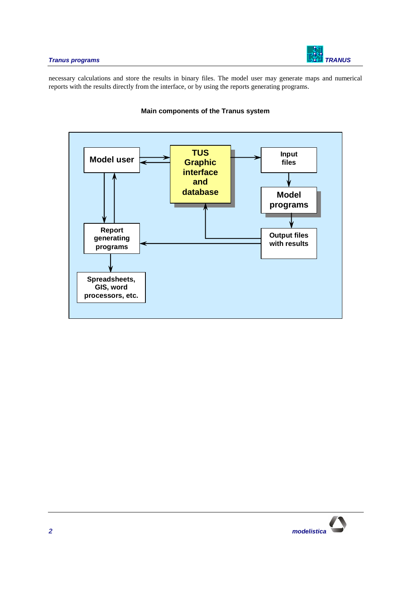![](_page_5_Picture_1.jpeg)

necessary calculations and store the results in binary files. The model user may generate maps and numerical reports with the results directly from the interface, or by using the reports generating programs.

![](_page_5_Figure_3.jpeg)

#### **Main components of the Tranus system**

![](_page_5_Picture_5.jpeg)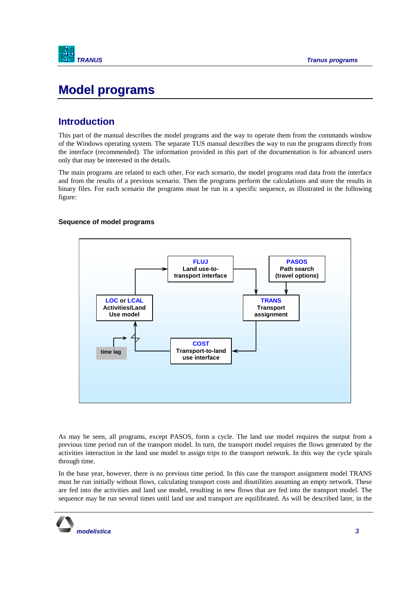![](_page_6_Picture_1.jpeg)

## **Model programs**

#### **Introduction**

This part of the manual describes the model programs and the way to operate them from the commands window of the Windows operating system. The separate TUS manual describes the way to run the programs directly from the interface (recommended). The information provided in this part of the documentation is for advanced users only that may be interested in the details.

The main programs are related to each other. For each scenario, the model programs read data from the interface and from the results of a previous scenario. Then the programs perform the calculations and store the results in binary files. For each scenario the programs must be run in a specific sequence, as illustrated in the following figure:

#### **Sequence of model programs**

![](_page_6_Figure_7.jpeg)

As may be seen, all programs, except PASOS, form a cycle. The land use model requires the output from a previous time period run of the transport model. In turn, the transport model requires the flows generated by the activities interaction in the land use model to assign trips to the transport network. In this way the cycle spirals through time.

In the base year, however, there is no previous time period. In this case the transport assignment model TRANS must be run initially without flows, calculating transport costs and disutilities assuming an empty network. These are fed into the activities and land use model, resulting in new flows that are fed into the transport model. The sequence may be run several times until land use and transport are equilibrated. As will be described later, in the

![](_page_6_Picture_10.jpeg)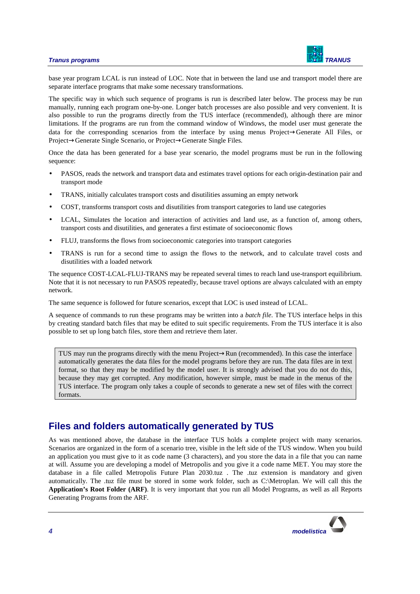![](_page_7_Picture_1.jpeg)

base year program LCAL is run instead of LOC. Note that in between the land use and transport model there are separate interface programs that make some necessary transformations.

The specific way in which such sequence of programs is run is described later below. The process may be run manually, running each program one-by-one. Longer batch processes are also possible and very convenient. It is also possible to run the programs directly from the TUS interface (recommended), although there are minor limitations. If the programs are run from the command window of Windows, the model user must generate the data for the corresponding scenarios from the interface by using menus Project→Generate All Files, or Project→Generate Single Scenario, or Project→Generate Single Files.

Once the data has been generated for a base year scenario, the model programs must be run in the following sequence:

- PASOS, reads the network and transport data and estimates travel options for each origin-destination pair and transport mode
- TRANS, initially calculates transport costs and disutilities assuming an empty network
- COST, transforms transport costs and disutilities from transport categories to land use categories
- LCAL, Simulates the location and interaction of activities and land use, as a function of, among others, transport costs and disutilities, and generates a first estimate of socioeconomic flows
- FLUJ, transforms the flows from socioeconomic categories into transport categories
- TRANS is run for a second time to assign the flows to the network, and to calculate travel costs and disutilities with a loaded network

The sequence COST-LCAL-FLUJ-TRANS may be repeated several times to reach land use-transport equilibrium. Note that it is not necessary to run PASOS repeatedly, because travel options are always calculated with an empty network.

The same sequence is followed for future scenarios, except that LOC is used instead of LCAL.

A sequence of commands to run these programs may be written into a *batch file*. The TUS interface helps in this by creating standard batch files that may be edited to suit specific requirements. From the TUS interface it is also possible to set up long batch files, store them and retrieve them later.

TUS may run the programs directly with the menu Project→Run (recommended). In this case the interface automatically generates the data files for the model programs before they are run. The data files are in text format, so that they may be modified by the model user. It is strongly advised that you do not do this, because they may get corrupted. Any modification, however simple, must be made in the menus of the TUS interface. The program only takes a couple of seconds to generate a new set of files with the correct formats.

#### **Files and folders automatically generated by TUS**

As was mentioned above, the database in the interface TUS holds a complete project with many scenarios. Scenarios are organized in the form of a scenario tree, visible in the left side of the TUS window. When you build an application you must give to it as code name (3 characters), and you store the data in a file that you can name at will. Assume you are developing a model of Metropolis and you give it a code name MET. You may store the database in a file called Metropolis Future Plan 2030.tuz . The .tuz extension is mandatory and given automatically. The .tuz file must be stored in some work folder, such as C:\Metroplan. We will call this the **Application's Root Folder (ARF)**. It is very important that you run all Model Programs, as well as all Reports Generating Programs from the ARF.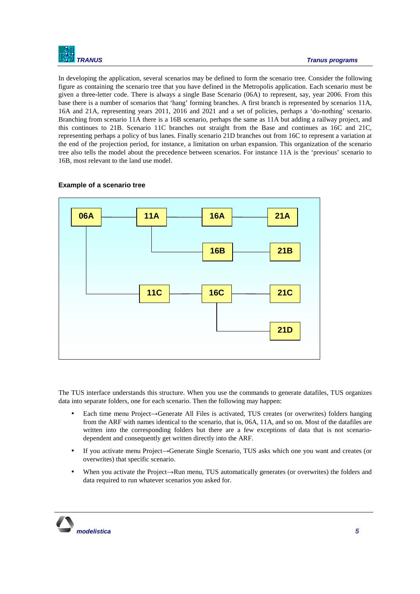![](_page_8_Picture_0.jpeg)

In developing the application, several scenarios may be defined to form the scenario tree. Consider the following figure as containing the scenario tree that you have defined in the Metropolis application. Each scenario must be given a three-letter code. There is always a single Base Scenario (06A) to represent, say, year 2006. From this base there is a number of scenarios that 'hang' forming branches. A first branch is represented by scenarios 11A, 16A and 21A, representing years 2011, 2016 and 2021 and a set of policies, perhaps a 'do-nothing' scenario. Branching from scenario 11A there is a 16B scenario, perhaps the same as 11A but adding a railway project, and this continues to 21B. Scenario 11C branches out straight from the Base and continues as 16C and 21C, representing perhaps a policy of bus lanes. Finally scenario 21D branches out from 16C to represent a variation at the end of the projection period, for instance, a limitation on urban expansion. This organization of the scenario tree also tells the model about the precedence between scenarios. For instance 11A is the 'previous' scenario to 16B, most relevant to the land use model.

![](_page_8_Figure_3.jpeg)

#### **Example of a scenario tree**

The TUS interface understands this structure. When you use the commands to generate datafiles, TUS organizes data into separate folders, one for each scenario. Then the following may happen:

- Each time menu Project→Generate All Files is activated, TUS creates (or overwrites) folders hanging from the ARF with names identical to the scenario, that is, 06A, 11A, and so on. Most of the datafiles are written into the corresponding folders but there are a few exceptions of data that is not scenariodependent and consequently get written directly into the ARF.
- If you activate menu Project→Generate Single Scenario, TUS asks which one you want and creates (or overwrites) that specific scenario.
- When you activate the Project→Run menu, TUS automatically generates (or overwrites) the folders and data required to run whatever scenarios you asked for.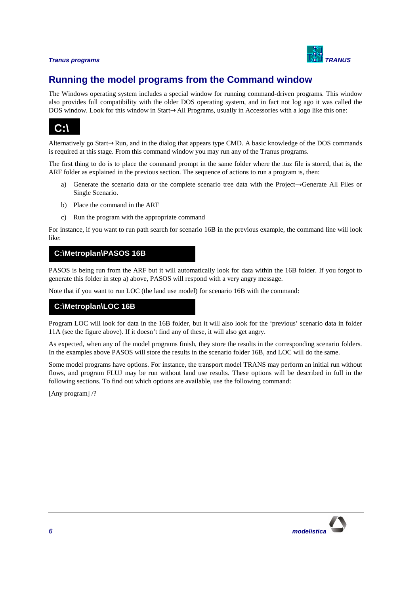![](_page_9_Picture_1.jpeg)

### **Running the model programs from the Command window**

The Windows operating system includes a special window for running command-driven programs. This window also provides full compatibility with the older DOS operating system, and in fact not log ago it was called the DOS window. Look for this window in Start→All Programs, usually in Accessories with a logo like this one:

![](_page_9_Picture_4.jpeg)

Alternatively go Start→Run, and in the dialog that appears type CMD. A basic knowledge of the DOS commands is required at this stage. From this command window you may run any of the Tranus programs.

The first thing to do is to place the command prompt in the same folder where the .tuz file is stored, that is, the ARF folder as explained in the previous section. The sequence of actions to run a program is, then:

- a) Generate the scenario data or the complete scenario tree data with the Project→Generate All Files or Single Scenario.
- b) Place the command in the ARF
- c) Run the program with the appropriate command

For instance, if you want to run path search for scenario 16B in the previous example, the command line will look like:

#### **C:\Metroplan\PASOS 16B**

PASOS is being run from the ARF but it will automatically look for data within the 16B folder. If you forgot to generate this folder in step a) above, PASOS will respond with a very angry message.

Note that if you want to run LOC (the land use model) for scenario 16B with the command:

#### **C:\Metroplan\LOC 16B**

Program LOC will look for data in the 16B folder, but it will also look for the 'previous' scenario data in folder 11A (see the figure above). If it doesn't find any of these, it will also get angry.

As expected, when any of the model programs finish, they store the results in the corresponding scenario folders. In the examples above PASOS will store the results in the scenario folder 16B, and LOC will do the same.

Some model programs have options. For instance, the transport model TRANS may perform an initial run without flows, and program FLUJ may be run without land use results. These options will be described in full in the following sections. To find out which options are available, use the following command:

[Any program] /?

![](_page_9_Picture_19.jpeg)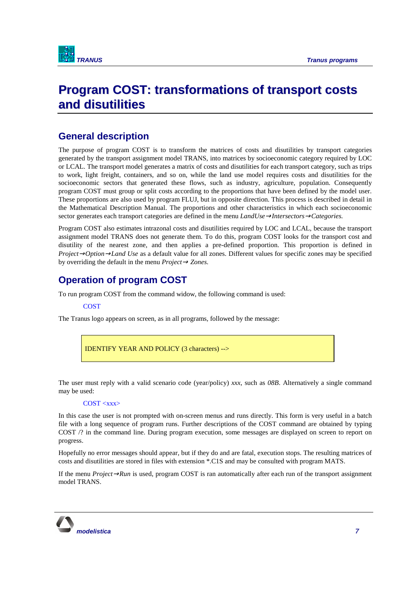![](_page_10_Picture_1.jpeg)

### **Program COST: transformations of transport costs and disutilities**

#### **General description**

The purpose of program COST is to transform the matrices of costs and disutilities by transport categories generated by the transport assignment model TRANS, into matrices by socioeconomic category required by LOC or LCAL. The transport model generates a matrix of costs and disutilities for each transport category, such as trips to work, light freight, containers, and so on, while the land use model requires costs and disutilities for the socioeconomic sectors that generated these flows, such as industry, agriculture, population. Consequently program COST must group or split costs according to the proportions that have been defined by the model user. These proportions are also used by program FLUJ, but in opposite direction. This process is described in detail in the Mathematical Description Manual. The proportions and other characteristics in which each socioeconomic sector generates each transport categories are defined in the menu *LandUse*→*Intersectors*→*Categories.*

Program COST also estimates intrazonal costs and disutilities required by LOC and LCAL, because the transport assignment model TRANS does not generate them. To do this, program COST looks for the transport cost and disutility of the nearest zone, and then applies a pre-defined proportion. This proportion is defined in *Project*→*Option*→*Land Use* as a default value for all zones. Different values for specific zones may be specified by overriding the default in the menu *Project*<sup>→</sup> *Zones.*

#### **Operation of program COST**

To run program COST from the command widow, the following command is used:

#### **COST**

The Tranus logo appears on screen, as in all programs, followed by the message:

![](_page_10_Picture_10.jpeg)

The user must reply with a valid scenario code (year/policy) *xxx*, such as *08B*. Alternatively a single command may be used:

#### COST <xxx>

In this case the user is not prompted with on-screen menus and runs directly. This form is very useful in a batch file with a long sequence of program runs. Further descriptions of the COST command are obtained by typing COST /? in the command line. During program execution, some messages are displayed on screen to report on progress.

Hopefully no error messages should appear, but if they do and are fatal, execution stops. The resulting matrices of costs and disutilities are stored in files with extension \*.C1S and may be consulted with program MATS.

If the menu *Project*→*Run* is used, program COST is ran automatically after each run of the transport assignment model TRANS.

![](_page_10_Picture_16.jpeg)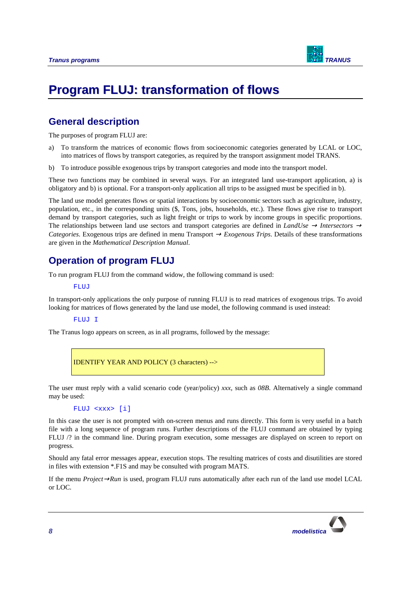## **Program FLUJ: transformation of flows**

#### **General description**

The purposes of program FLUJ are:

- a) To transform the matrices of economic flows from socioeconomic categories generated by LCAL or LOC, into matrices of flows by transport categories, as required by the transport assignment model TRANS.
- b) To introduce possible exogenous trips by transport categories and mode into the transport model.

These two functions may be combined in several ways. For an integrated land use-transport application, a) is obligatory and b) is optional. For a transport-only application all trips to be assigned must be specified in b).

The land use model generates flows or spatial interactions by socioeconomic sectors such as agriculture, industry, population, etc., in the corresponding units (\$, Tons, jobs, households, etc.). These flows give rise to transport demand by transport categories, such as light freight or trips to work by income groups in specific proportions. The relationships between land use sectors and transport categories are defined in *LandUse* → *Intersectors* <sup>→</sup> *Categories.* Exogenous trips are defined in menu Transport  $\rightarrow$  *Exogenous Trips.* Details of these transformations are given in the *Mathematical Description Manual*.

#### **Operation of program FLUJ**

To run program FLUJ from the command widow, the following command is used:

#### FLUJ

In transport-only applications the only purpose of running FLUJ is to read matrices of exogenous trips. To avoid looking for matrices of flows generated by the land use model, the following command is used instead:

#### FLUJ I

The Tranus logo appears on screen, as in all programs, followed by the message:

![](_page_11_Picture_15.jpeg)

The user must reply with a valid scenario code (year/policy) *xxx*, such as *08B*. Alternatively a single command may be used:

#### FLUJ <xxx> [i]

In this case the user is not prompted with on-screen menus and runs directly. This form is very useful in a batch file with a long sequence of program runs. Further descriptions of the FLUJ command are obtained by typing FLUJ /? in the command line. During program execution, some messages are displayed on screen to report on progress.

Should any fatal error messages appear, execution stops. The resulting matrices of costs and disutilities are stored in files with extension \*.F1S and may be consulted with program MATS.

If the menu *Project*→*Run* is used, program FLUJ runs automatically after each run of the land use model LCAL or LOC.

![](_page_11_Picture_21.jpeg)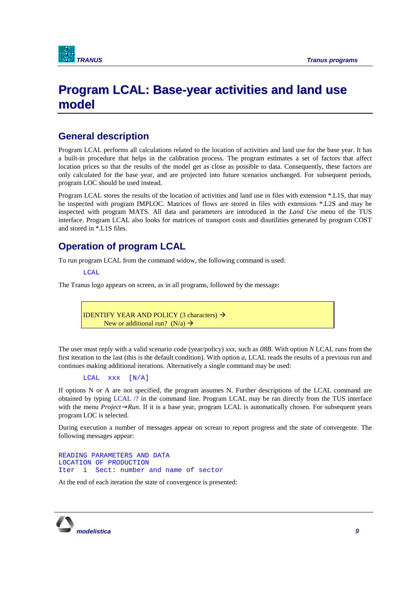## **Program LCAL: Base-year activities and land use model**

#### **General description**

Program LCAL performs all calculations related to the location of activities and land use for the base year. It has a built-in procedure that helps in the calibration process. The program estimates a set of factors that affect location prices so that the results of the model get as close as possible to data. Consequently, these factors are only calculated for the base year, and are projected into future scenarios unchanged. For subsequent periods, program LOC should be used instead.

Program LCAL stores the results of the location of activities and land use in files with extension \*.L1S, that may be inspected with program IMPLOC. Matrices of flows are stored in files with extensions \*.L2S and may be inspected with program MATS. All data and parameters are introduced in the *Land Use* menu of the TUS interface. Program LCAL also looks for matrices of transport costs and disutilities generated by program COST and stored in \*.L1S files.

#### **Operation of program LCAL**

To run program LCAL from the command widow, the following command is used:

**LCAL** 

The Tranus logo appears on screen, as in all programs, followed by the message:

**IDENTIFY YEAR AND POLICY (3 characters)**  $\rightarrow$ New or additional run? (N/a)  $\rightarrow$ 

The user must reply with a valid scenario code (year/policy) *xxx*, such as *08B*. With option *N* LCAL runs from the first iteration to the last (this is the default condition). With option *a*, LCAL reads the results of a previous run and continues making additional iterations. Alternatively a single command may be used:

LCAL xxx [N/A]

If options N or A are not specified, the program assumes N. Further descriptions of the LCAL command are obtained by typing LCAL /? in the command line. Program LCAL may be ran directly from the TUS interface with the menu *Project*→*Run*. If it is a base year, program LCAL is automatically chosen. For subsequent years program LOC is selected.

During execution a number of messages appear on screan to report progress and the state of convergente. The following messages appear:

```
READING PARAMETERS AND DATA 
LOCATION OF PRODUCTION 
Iter i Sect: number and name of sector
```
At the end of each iteration the state of convergence is presented:

![](_page_12_Picture_17.jpeg)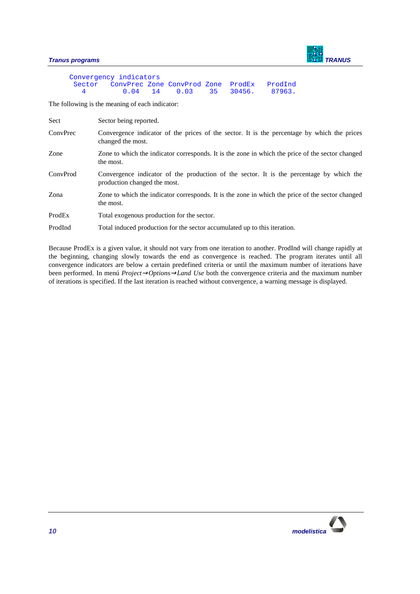![](_page_13_Picture_1.jpeg)

```
 Convergency indicators 
      Sector ConvPrec Zone ConvProd Zone ProdEx ProdInd<br>4 0.04 14 0.03 35 30456. 87963.
 4 0.04 14 0.03 35 30456. 87963.
```
The following is the meaning of each indicator:

Sect Sector being reported.

- ConvPrec Convergence indicator of the prices of the sector. It is the percentage by which the prices changed the most.
- Zone Zone to which the indicator corresponds. It is the zone in which the price of the sector changed the most.
- ConvProd Convergence indicator of the production of the sector. It is the percentage by which the production changed the most.
- Zona Zone to which the indicator corresponds. It is the zone in which the price of the sector changed the most.
- ProdEx Total exogenous production for the sector.

ProdInd Total induced production for the sector accumulated up to this iteration.

Because ProdEx is a given value, it should not vary from one iteration to another. ProdInd will change rapidly at the beginning, changing slowly towards the end as convergence is reached. The program iterates until all convergence indicators are below a certain predefined criteria or until the maximum number of iterations have been performed. In menú *Project*→*Options*→*Land Use* both the convergence criteria and the maximum number of iterations is specified. If the last iteration is reached without convergence, a warning message is displayed.

![](_page_13_Picture_12.jpeg)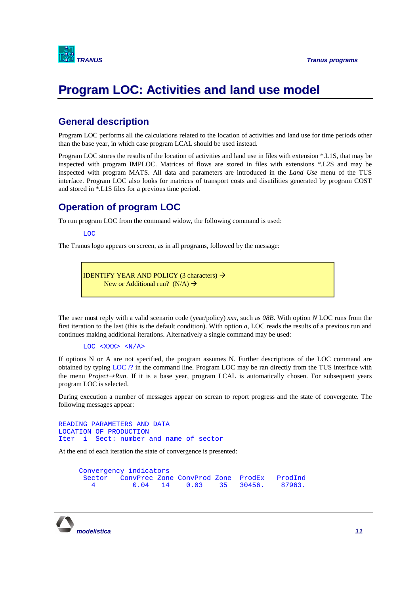![](_page_14_Picture_1.jpeg)

## **Program LOC: Activities and land use model**

#### **General description**

Program LOC performs all the calculations related to the location of activities and land use for time periods other than the base year, in which case program LCAL should be used instead.

Program LOC stores the results of the location of activities and land use in files with extension \*.L1S, that may be inspected with program IMPLOC. Matrices of flows are stored in files with extensions \*.L2S and may be inspected with program MATS. All data and parameters are introduced in the *Land Use* menu of the TUS interface. Program LOC also looks for matrices of transport costs and disutilities generated by program COST and stored in \*.L1S files for a previous time period.

#### **Operation of program LOC**

To run program LOC from the command widow, the following command is used:

LOC

The Tranus logo appears on screen, as in all programs, followed by the message:

**IDENTIFY YEAR AND POLICY (3 characters)**  $\rightarrow$ New or Additional run? (N/A)  $\rightarrow$ 

The user must reply with a valid scenario code (year/policy) *xxx*, such as *08B*. With option *N* LOC runs from the first iteration to the last (this is the default condition). With option *a*, LOC reads the results of a previous run and continues making additional iterations. Alternatively a single command may be used:

LOC  $\langle$  XXX>  $\langle$  N/A>

If options N or A are not specified, the program assumes N. Further descriptions of the LOC command are obtained by typing LOC /? in the command line. Program LOC may be ran directly from the TUS interface with the menu *Project*→*Run*. If it is a base year, program LCAL is automatically chosen. For subsequent years program LOC is selected.

During execution a number of messages appear on screan to report progress and the state of convergente. The following messages appear:

READING PARAMETERS AND DATA LOCATION OF PRODUCTION Iter i Sect: number and name of sector

At the end of each iteration the state of convergence is presented:

```
 Convergency indicators 
      Sector ConvPrec Zone ConvProd Zone ProdEx ProdInd<br>4 0.04 14 0.03 35 30456, 87963,
 4 0.04 14 0.03 35 30456. 87963.
```
![](_page_14_Picture_18.jpeg)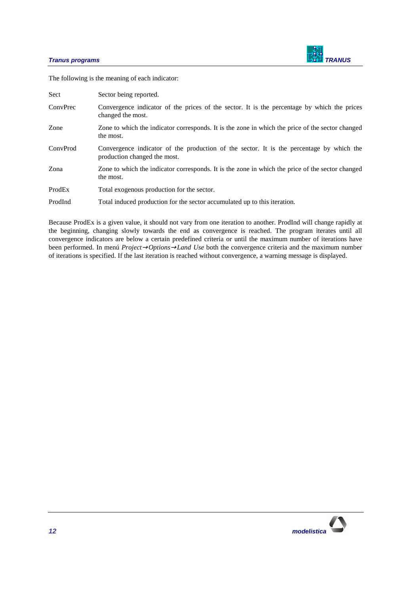![](_page_15_Picture_1.jpeg)

The following is the meaning of each indicator:

| Sect     | Sector being reported.                                                                                                   |
|----------|--------------------------------------------------------------------------------------------------------------------------|
| ConvPrec | Convergence indicator of the prices of the sector. It is the percentage by which the prices<br>changed the most.         |
| Zone     | Zone to which the indicator corresponds. It is the zone in which the price of the sector changed<br>the most.            |
| ConvProd | Convergence indicator of the production of the sector. It is the percentage by which the<br>production changed the most. |
| Zona     | Zone to which the indicator corresponds. It is the zone in which the price of the sector changed<br>the most.            |
| ProdEx   | Total exogenous production for the sector.                                                                               |
| ProdInd  | Total induced production for the sector accumulated up to this iteration.                                                |

Because ProdEx is a given value, it should not vary from one iteration to another. ProdInd will change rapidly at the beginning, changing slowly towards the end as convergence is reached. The program iterates until all convergence indicators are below a certain predefined criteria or until the maximum number of iterations have been performed. In menú *Project*→*Options*→*Land Use* both the convergence criteria and the maximum number of iterations is specified. If the last iteration is reached without convergence, a warning message is displayed.

![](_page_15_Picture_5.jpeg)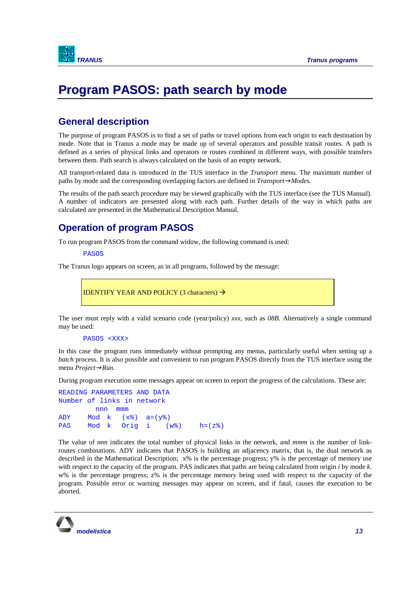![](_page_16_Picture_1.jpeg)

### **Program PASOS: path search by mode**

#### **General description**

The purpose of program PASOS is to find a set of paths or travel options from each origin to each destination by mode. Note that in Tranus a mode may be made up of several operators and possible transit routes. A path is defined as a series of physical links and operators or routes combined in different ways, with possible transfers between them. Path search is always calculated on the basis of an empty network.

All transport-related data is introduced in the TUS interface in the *Transport* menu. The maximum number of paths by mode and the corresponding overlapping factors are defined in *Transport*→*Modes.*

The results of the path search procedure may be viewed graphically with the TUS interface (see the TUS Manual). A number of indicators are presented along with each path. Further details of the way in which paths are calculated are presented in the Mathematical Description Manual.

#### **Operation of program PASOS**

To run program PASOS from the command widow, the following command is used:

#### PASOS

The Tranus logo appears on screen, as in all programs, followed by the message:

**IDENTIFY YEAR AND POLICY (3 characters)**  $\rightarrow$ 

The user must reply with a valid scenario code (year/policy) *xxx*, such as *08B*. Alternatively a single command may be used:

#### PASOS <XXX>

In this case the program runs immediately without prompting any menus, particularly useful when setting up a *batch* process. It is also possible and convenient to run program PASOS directly from the TUS interface using the menu *Project*→*Run*.

During program execution some messages appear on screen to report the progress of the calculations. These are:

```
READING PARAMETERS AND DATA 
Number of links in network 
          nnn mmm 
ADY Mod k (x<sup>2</sup>) a=(y<sup>2</sup>)PAS Mod k Orig i (w%) h=(z%)
```
The value of *nnn* indicates the total number of physical links in the network, and *mmm* is the number of linkroutes combinations. ADY indicates that PASOS is building an adjacency matrix, that is, the dual network as described in the Mathematical Description; x% is the percentage progress; y% is the percentage of memory use with respect to the capacity of the program. PAS indicates that paths are being calculated from origin *i* by mode *k*. w% is the percentage progress; z% is the percentage memory being used with respect to the capacity of the program. Possible error or warning messages may appear on screen, and if fatal, causes the execution to be aborted.

![](_page_16_Picture_18.jpeg)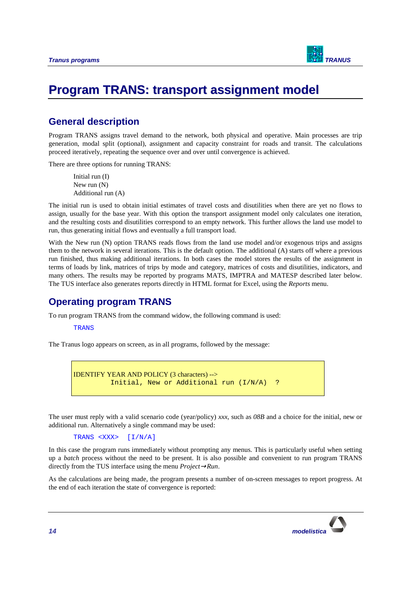![](_page_17_Picture_1.jpeg)

## **Program TRANS: transport assignment model**

#### **General description**

Program TRANS assigns travel demand to the network, both physical and operative. Main processes are trip generation, modal split (optional), assignment and capacity constraint for roads and transit. The calculations proceed iteratively, repeating the sequence over and over until convergence is achieved.

There are three options for running TRANS:

 Initial run (I) New run (N) Additional run (A)

The initial run is used to obtain initial estimates of travel costs and disutilities when there are yet no flows to assign, usually for the base year. With this option the transport assignment model only calculates one iteration, and the resulting costs and disutilities correspond to an empty network. This further allows the land use model to run, thus generating initial flows and eventually a full transport load.

With the New run (N) option TRANS reads flows from the land use model and/or exogenous trips and assigns them to the network in several iterations. This is the default option. The additional (A) starts off where a previous run finished, thus making additional iterations. In both cases the model stores the results of the assignment in terms of loads by link, matrices of trips by mode and category, matrices of costs and disutilities, indicators, and many others. The results may be reported by programs MATS, IMPTRA and MATESP described later below. The TUS interface also generates reports directly in HTML format for Excel, using the *Reports* menu.

#### **Operating program TRANS**

To run program TRANS from the command widow, the following command is used:

#### TRANS

The Tranus logo appears on screen, as in all programs, followed by the message:

![](_page_17_Picture_13.jpeg)

The user must reply with a valid scenario code (year/policy) *xxx*, such as *08B* and a choice for the initial, new or additional run. Alternatively a single command may be used:

TRANS <XXX> [I/N/A]

In this case the program runs immediately without prompting any menus. This is particularly useful when setting up a *batch* process without the need to be present. It is also possible and convenient to run program TRANS directly from the TUS interface using the menu *Project*→*Run*.

As the calculations are being made, the program presents a number of on-screen messages to report progress. At the end of each iteration the state of convergence is reported:

![](_page_17_Picture_18.jpeg)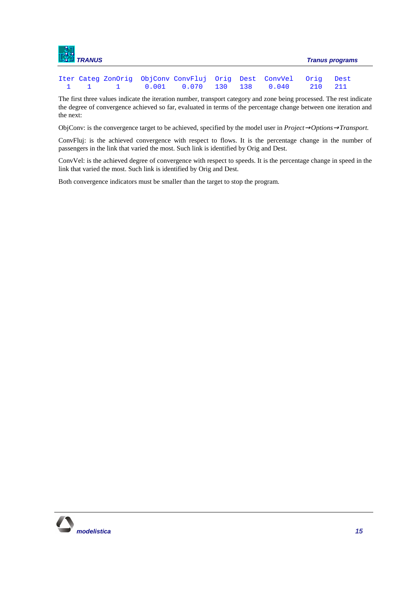| <b>TAN TRANUS</b> |  |  |  |                                                                                       |  |  |  | <b>Tranus programs</b> |  |
|-------------------|--|--|--|---------------------------------------------------------------------------------------|--|--|--|------------------------|--|
|                   |  |  |  | Iter Categ ZonOrig ObjConv ConvFluj Orig Dest ConvVel Orig Dest                       |  |  |  |                        |  |
|                   |  |  |  | $1 \quad 1 \quad 1 \quad 0.001 \quad 0.070 \quad 130 \quad 138 \quad 0.040 \quad 210$ |  |  |  | -211                   |  |

The first three values indicate the iteration number, transport category and zone being processed. The rest indicate the degree of convergence achieved so far, evaluated in terms of the percentage change between one iteration and the next:

ObjConv: is the convergence target to be achieved, specified by the model user in *Project*→*Options*→*Transport.* 

ConvFluj: is the achieved convergence with respect to flows. It is the percentage change in the number of passengers in the link that varied the most. Such link is identified by Orig and Dest.

ConvVel: is the achieved degree of convergence with respect to speeds. It is the percentage change in speed in the link that varied the most. Such link is identified by Orig and Dest.

Both convergence indicators must be smaller than the target to stop the program.

![](_page_18_Picture_6.jpeg)

- 75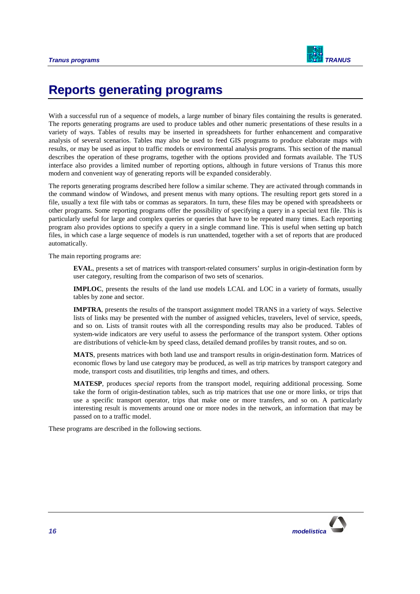![](_page_19_Picture_1.jpeg)

### **Reports generating programs**

With a successful run of a sequence of models, a large number of binary files containing the results is generated. The reports generating programs are used to produce tables and other numeric presentations of these results in a variety of ways. Tables of results may be inserted in spreadsheets for further enhancement and comparative analysis of several scenarios. Tables may also be used to feed GIS programs to produce elaborate maps with results, or may be used as input to traffic models or environmental analysis programs. This section of the manual describes the operation of these programs, together with the options provided and formats available. The TUS interface also provides a limited number of reporting options, although in future versions of Tranus this more modern and convenient way of generating reports will be expanded considerably.

The reports generating programs described here follow a similar scheme. They are activated through commands in the command window of Windows, and present menus with many options. The resulting report gets stored in a file, usually a text file with tabs or commas as separators. In turn, these files may be opened with spreadsheets or other programs. Some reporting programs offer the possibility of specifying a query in a special text file. This is particularly useful for large and complex queries or queries that have to be repeated many times. Each reporting program also provides options to specify a query in a single command line. This is useful when setting up batch files, in which case a large sequence of models is run unattended, together with a set of reports that are produced automatically.

The main reporting programs are:

**EVAL**, presents a set of matrices with transport-related consumers' surplus in origin-destination form by user category, resulting from the comparison of two sets of scenarios.

**IMPLOC**, presents the results of the land use models LCAL and LOC in a variety of formats, usually tables by zone and sector.

**IMPTRA**, presents the results of the transport assignment model TRANS in a variety of ways. Selective lists of links may be presented with the number of assigned vehicles, travelers, level of service, speeds, and so on. Lists of transit routes with all the corresponding results may also be produced. Tables of system-wide indicators are very useful to assess the performance of the transport system. Other options are distributions of vehicle-km by speed class, detailed demand profiles by transit routes, and so on.

**MATS**, presents matrices with both land use and transport results in origin-destination form. Matrices of economic flows by land use category may be produced, as well as trip matrices by transport category and mode, transport costs and disutilities, trip lengths and times, and others.

**MATESP**, produces *special* reports from the transport model, requiring additional processing. Some take the form of origin-destination tables, such as trip matrices that use one or more links, or trips that use a specific transport operator, trips that make one or more transfers, and so on. A particularly interesting result is movements around one or more nodes in the network, an information that may be passed on to a traffic model.

These programs are described in the following sections.

![](_page_19_Picture_12.jpeg)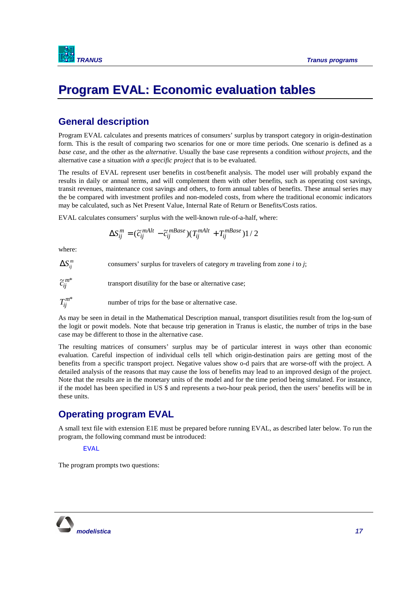![](_page_20_Picture_1.jpeg)

## **Program EVAL: Economic evaluation tables**

#### **General description**

Program EVAL calculates and presents matrices of consumers' surplus by transport category in origin-destination form. This is the result of comparing two scenarios for one or more time periods. One scenario is defined as a *base case*, and the other as the *alternative*. Usually the base case represents a condition *without projects*, and the alternative case a situation *with a specific project* that is to be evaluated.

The results of EVAL represent user benefits in cost/benefit analysis. The model user will probably expand the results in daily or annual terms, and will complement them with other benefits, such as operating cost savings, transit revenues, maintenance cost savings and others, to form annual tables of benefits. These annual series may the be compared with investment profiles and non-modeled costs, from where the traditional economic indicators may be calculated, such as Net Present Value, Internal Rate of Return or Benefits/Costs ratios.

EVAL calculates consumers' surplus with the well-known rule-of-a-half, where:

$$
\Delta S_{ij}^m = (\tilde{c}_{ij}^{mAlt} - \tilde{c}_{ij}^{mBase})(T_{ij}^{mAlt} + T_{ij}^{mBase})1/2
$$

where:

 $\Delta S_i^m$  consumers' surplus for travelers of category *m* traveling from zone *i* to *j*;  $\tilde{c}_{ij}^{m^*}$  transport disutility for the base or alternative case;  $T_{ij}^{m*}$ number of trips for the base or alternative case.

As may be seen in detail in the Mathematical Description manual, transport disutilities result from the log-sum of the logit or powit models. Note that because trip generation in Tranus is elastic, the number of trips in the base case may be different to those in the alternative case.

The resulting matrices of consumers' surplus may be of particular interest in ways other than economic evaluation. Careful inspection of individual cells tell which origin-destination pairs are getting most of the benefits from a specific transport project. Negative values show o-d pairs that are worse-off with the project. A detailed analysis of the reasons that may cause the loss of benefits may lead to an improved design of the project. Note that the results are in the monetary units of the model and for the time period being simulated. For instance, if the model has been specified in US \$ and represents a two-hour peak period, then the users' benefits will be in these units.

#### **Operating program EVAL**

A small text file with extension E1E must be prepared before running EVAL, as described later below. To run the program, the following command must be introduced:

EVAL.

The program prompts two questions:

![](_page_20_Picture_16.jpeg)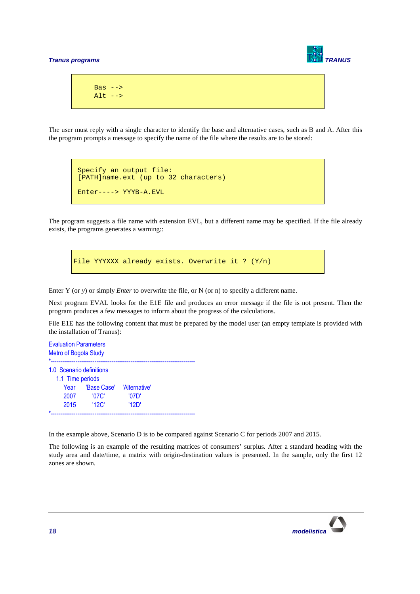![](_page_21_Picture_1.jpeg)

 $Bas$   $--$ Alt  $\leftarrow$ 

The user must reply with a single character to identify the base and alternative cases, such as B and A. After this the program prompts a message to specify the name of the file where the results are to be stored:

```
 Specify an output file: 
 [PATH]name.ext (up to 32 characters) 
 Enter----> YYYB-A.EVL
```
The program suggests a file name with extension EVL, but a different name may be specified. If the file already exists, the programs generates a warning::

File YYYXXX already exists. Overwrite it ? (Y/n)

Enter Y (or *y*) or simply *Enter* to overwrite the file, or N (or n) to specify a different name.

Next program EVAL looks for the E1E file and produces an error message if the file is not present. Then the program produces a few messages to inform about the progress of the calculations.

File E1E has the following content that must be prepared by the model user (an empty template is provided with the installation of Tranus):

Evaluation Parameters Metro of Bogota Study \*---------------------------------------------------------------------------- 1.0 Scenario definitions 1.1 Time periods Year 'Base Case' 'Alternative' 2007 '07C' '07D' 2015 '12C' '12D' \*----------------------------------------------------------------------------

In the example above, Scenario D is to be compared against Scenario C for periods 2007 and 2015.

The following is an example of the resulting matrices of consumers' surplus. After a standard heading with the study area and date/time, a matrix with origin-destination values is presented. In the sample, only the first 12 zones are shown.

![](_page_21_Picture_13.jpeg)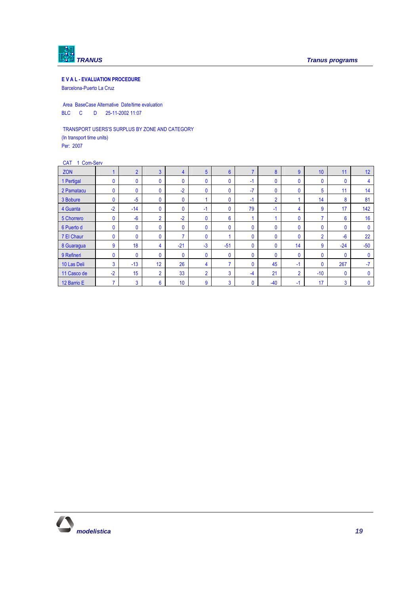![](_page_22_Picture_1.jpeg)

#### **E V A L - EVALUATION PROCEDURE**

Barcelona-Puerto La Cruz

 Area BaseCase Alternative Date/time evaluation BLC C D 25-11-2002 11:07

 TRANSPORT USERS'S SURPLUS BY ZONE AND CATEGORY (In transport time units) Per: 2007

CAT 1 Com-Serv

| <b>ZON</b>  |      | $\overline{2}$ | 3              | 4     | 5              | $6\phantom{1}6$ | $\overline{\phantom{a}}$ | 8              | 9              | 10             | 11    | 12 <sup>°</sup> |
|-------------|------|----------------|----------------|-------|----------------|-----------------|--------------------------|----------------|----------------|----------------|-------|-----------------|
| 1 Pertigal  |      | 0              | 0              |       | 0              | $\mathbf{0}$    | $-1$                     | 0              | 0              | 0              | 0     | 4               |
| 2 Pamatacu  |      | 0              | 0              | $-2$  | 0              | $\mathbf{0}$    | $-7$                     | 0              | 0              | 5              | 11    | 14              |
| 3 Bobure    |      | $-5$           | 0              | 0     |                | $\mathbf{0}$    | $-1$                     | $\overline{2}$ |                | 14             | 8     | 81              |
| 4 Guanta    | $-2$ | $-14$          | 0              | 0     | $-1$           | $\mathbf{0}$    | 79                       | $-1$           | 4              | 9              | 17    | 142             |
| 5 Chorrero  | 0    | $-6$           | $\overline{2}$ | $-2$  | 0              | 6               |                          |                | 0              |                | 6     | 16              |
| 6 Puerto d  | 0    | 0              | 0              | 0     | 0              | $\mathbf{0}$    | 0                        | 0              | 0              | 0              | 0     | $\mathbf{0}$    |
| 7 El Chaur  |      | 0              | 0              | ⇁     | 0              |                 | 0                        | 0              | 0              | $\overline{2}$ | $-6$  | 22              |
| 8 Guaragua  | 9    | 18             | 4              | $-21$ | $-3$           | $-51$           | 0                        | 0              | 14             | 9              | $-24$ | $-50$           |
| 9 Refineri  |      | 0              | 0              | 0     | 0              | 0               | 0                        | $\mathbf{0}$   | 0              | 0              | 0     | $\mathbf{0}$    |
| 10 Las Deli | 3    | $-13$          | 12             | 26    | 4              | 7               | 0                        | 45             | $-1$           | $\mathbf{0}$   | 267   | $-7$            |
| 11 Casco de | $-2$ | 15             | $\overline{2}$ | 33    | $\overline{2}$ | 3               | $-4$                     | 21             | $\overline{2}$ | $-10$          | 0     | $\mathbf{0}$    |
| 12 Barrio E |      | 3              | $6\phantom{1}$ | 10    | 9              | 3               | 0                        | $-40$          | ٠              | 17             | 3     | $\mathbf{0}$    |

![](_page_22_Picture_8.jpeg)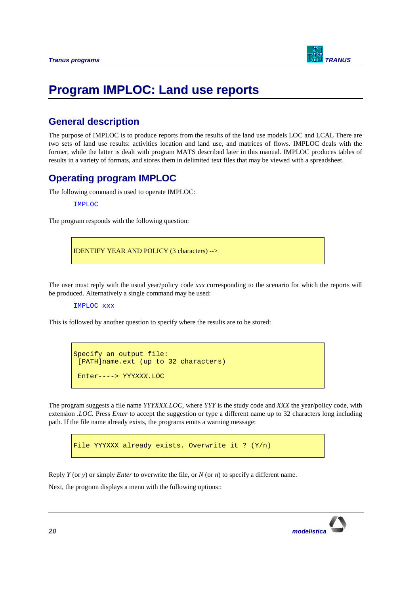![](_page_23_Picture_1.jpeg)

### **Program IMPLOC: Land use reports**

### **General description**

The purpose of IMPLOC is to produce reports from the results of the land use models LOC and LCAL There are two sets of land use results: activities location and land use, and matrices of flows. IMPLOC deals with the former, while the latter is dealt with program MATS described later in this manual. IMPLOC produces tables of results in a variety of formats, and stores them in delimited text files that may be viewed with a spreadsheet.

#### **Operating program IMPLOC**

The following command is used to operate IMPLOC:

IMPLOC

The program responds with the following question:

IDENTIFY YEAR AND POLICY (3 characters) -->

The user must reply with the usual year/policy code *xxx* corresponding to the scenario for which the reports will be produced. Alternatively a single command may be used:

IMPLOC xxx

This is followed by another question to specify where the results are to be stored:

```
Specify an output file: 
 [PATH]name.ext (up to 32 characters) 
 Enter----> YYYXXX.LOC
```
The program suggests a file name *YYYXXX.LOC*, where *YYY* is the study code and *XXX* the year/policy code, with extension *.LOC*. Press *Enter* to accept the suggestion or type a different name up to 32 characters long including path. If the file name already exists, the programs emits a warning message:

File YYYXXX already exists. Overwrite it ? (Y/n)

Reply *Y* (or *y*) or simply *Enter* to overwrite the file, or *N* (or *n*) to specify a different name.

Next, the program displays a menu with the following options::

![](_page_23_Picture_18.jpeg)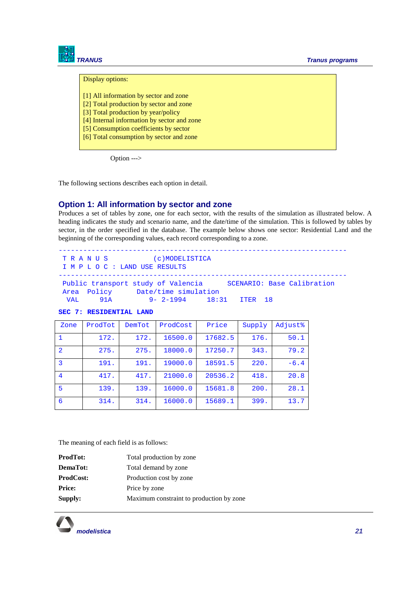**TRANUS Tranus programs**

![](_page_24_Picture_1.jpeg)

Display options:

- [1] All information by sector and zone
- [2] Total production by sector and zone
- [3] Total production by year/policy
- [4] Internal information by sector and zone
- [5] Consumption coefficients by sector
- [6] Total consumption by sector and zone

Option --->

The following sections describes each option in detail.

#### **Option 1: All information by sector and zone**

Produces a set of tables by zone, one for each sector, with the results of the simulation as illustrated below. A heading indicates the study and scenario name, and the date/time of the simulation. This is followed by tables by sector, in the order specified in the database. The example below shows one sector: Residential Land and the beginning of the corresponding values, each record corresponding to a zone.

#### ---------------------------------------------------------------------- T R A N U S (c) MODELISTICA I M P L O C : LAND USE RESULTS ---------------------------------------------------------------------- Public transport study of Valencia SCENARIO: Base Calibration Area Policy Date/time simulation VAL 91A 9- 2-1994 18:31 ITER 18

| Zone           | ProdTot | DemTot | ProdCost | Price   | Supply | Adjust <sup>8</sup> |
|----------------|---------|--------|----------|---------|--------|---------------------|
|                | 172.    | 172.   | 16500.0  | 17682.5 | 176.   | 50.1                |
| $\mathfrak{D}$ | 275.    | 275.   | 18000.0  | 17250.7 | 343.   | 79.2                |
| 3              | 191.    | 191.   | 19000.0  | 18591.5 | 220.   | $-6.4$              |
| 4              | 417.    | 417.   | 21000.0  | 20536.2 | 418.   | 20.8                |
| 5              | 139.    | 139.   | 16000.0  | 15681.8 | 200.   | 28.1                |
| 6              | 314.    | 314.   | 16000.0  | 15689.1 | 399.   | 13.7                |

**SEC 7: RESIDENTIAL LAND** 

The meaning of each field is as follows:

| Maximum constraint to production by zone |
|------------------------------------------|
|                                          |

**modelistica 21**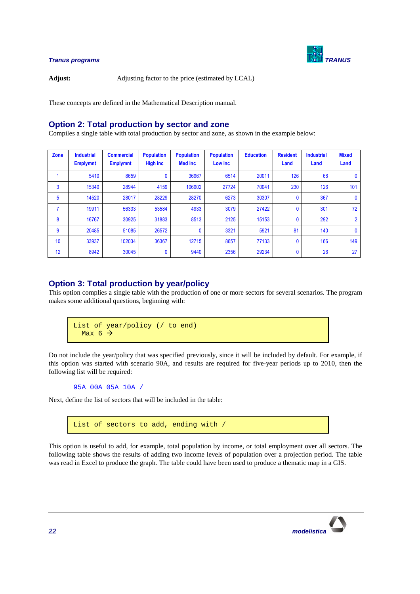![](_page_25_Picture_1.jpeg)

**Adjust:** Adjusting factor to the price (estimated by LCAL)

These concepts are defined in the Mathematical Description manual.

#### **Option 2: Total production by sector and zone**

Compiles a single table with total production by sector and zone, as shown in the example below:

| Zone | <b>Industrial</b><br><b>Emplymnt</b> | <b>Commercial</b><br><b>Emplymnt</b> | <b>Population</b><br><b>High inc</b> | <b>Population</b><br><b>Med inc</b> | <b>Population</b><br>Low inc | <b>Education</b> | <b>Resident</b><br>Land | <b>Industrial</b><br>Land | <b>Mixed</b><br>Land |
|------|--------------------------------------|--------------------------------------|--------------------------------------|-------------------------------------|------------------------------|------------------|-------------------------|---------------------------|----------------------|
|      | 5410                                 | 8659                                 | 0                                    | 36967                               | 6514                         | 20011            | 126                     | 68                        |                      |
| 3    | 15340                                | 28944                                | 4159                                 | 106902                              | 27724                        | 70041            | 230                     | 126                       | 101                  |
| 5    | 14520                                | 28017                                | 28229                                | 28270                               | 6273                         | 30307            | 0                       | 367                       | 0                    |
| 7    | 19911                                | 56333                                | 53584                                | 4933                                | 3079                         | 27422            | 0                       | 301                       | 72                   |
| 8    | 16767                                | 30925                                | 31883                                | 8513                                | 2125                         | 15153            | 0                       | 292                       | $\overline{2}$       |
| 9    | 20485                                | 51085                                | 26572                                | 0                                   | 3321                         | 5921             | 81                      | 140                       | 0                    |
| 10   | 33937                                | 102034                               | 36367                                | 12715                               | 8657                         | 77133            | 0                       | 166                       | 149                  |
| 12   | 8942                                 | 30045                                | 0                                    | 9440                                | 2356                         | 29234            | 0                       | 26                        | 27                   |

#### **Option 3: Total production by year/policy**

This option complies a single table with the production of one or more sectors for several scenarios. The program makes some additional questions, beginning with:

```
List of year/policy (/ to end) 
  Max 6 \rightarrow
```
Do not include the year/policy that was specified previously, since it will be included by default. For example, if this option was started with scenario 90A, and results are required for five-year periods up to 2010, then the following list will be required:

95A 00A 05A 10A /

Next, define the list of sectors that will be included in the table:

```
List of sectors to add, ending with /
```
This option is useful to add, for example, total population by income, or total employment over all sectors. The following table shows the results of adding two income levels of population over a projection period. The table was read in Excel to produce the graph. The table could have been used to produce a thematic map in a GIS.

![](_page_25_Picture_15.jpeg)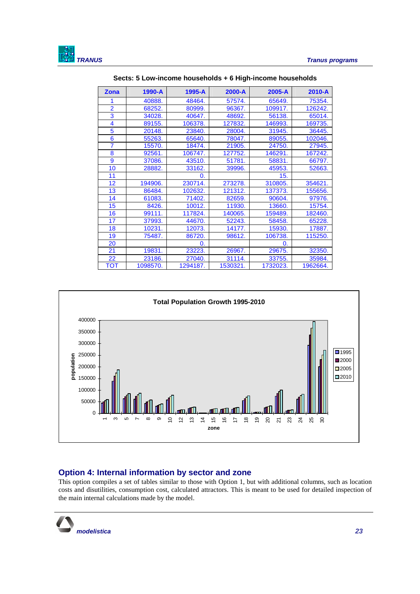![](_page_26_Picture_1.jpeg)

| <b>Zona</b>    | 1990-A   | 1995-A   | 2000-A   | 2005-A   | 2010-A   |
|----------------|----------|----------|----------|----------|----------|
|                | 40888.   | 48464.   | 57574.   | 65649.   | 75354.   |
| $\overline{2}$ | 68252.   | 80999.   | 96367.   | 109917.  | 126242.  |
| 3              | 34028.   | 40647.   | 48692.   | 56138.   | 65014.   |
| $\overline{4}$ | 89155.   | 106378.  | 127832.  | 146993.  | 169735.  |
| 5              | 20148.   | 23840.   | 28004.   | 31945.   | 36445.   |
| 6              | 55263.   | 65640.   | 78047.   | 89055.   | 102046.  |
| $\overline{7}$ | 15570.   | 18474.   | 21905.   | 24750.   | 27945.   |
| 8              | 92561.   | 106747.  | 127752.  | 146291.  | 167242.  |
| 9              | 37086.   | 43510.   | 51781.   | 58831.   | 66797.   |
| 10             | 28882.   | 33162.   | 39996.   | 45953.   | 52663.   |
| 11             |          | 0.       |          | 15.      |          |
| 12             | 194906.  | 230714.  | 273278.  | 310805.  | 354621.  |
| 13             | 86484.   | 102632.  | 121312.  | 137373.  | 155656.  |
| 14             | 61083.   | 71402.   | 82659.   | 90604.   | 97976.   |
| 15             | 8426.    | 10012.   | 11930.   | 13660.   | 15754.   |
| 16             | 99111.   | 117824.  | 140065.  | 159489.  | 182460.  |
| 17             | 37993.   | 44670.   | 52243.   | 58458.   | 65228.   |
| 18             | 10231.   | 12073.   | 14177.   | 15930.   | 17887.   |
| 19             | 75487.   | 86720.   | 98612.   | 106738.  | 115250.  |
| 20             |          | 0.       |          | 0.       |          |
| 21             | 19831.   | 23223.   | 26967.   | 29675.   | 32350.   |
| 22             | 23186.   | 27040.   | 31114.   | 33755.   | 35984.   |
| тот            | 1098570. | 1294187. | 1530321. | 1732023. | 1962664. |

| Sects: 5 Low-income households + 6 High-income households |  |  |  |
|-----------------------------------------------------------|--|--|--|
|-----------------------------------------------------------|--|--|--|

![](_page_26_Figure_4.jpeg)

#### **Option 4: Internal information by sector and zone**

This option compiles a set of tables similar to those with Option 1, but with additional columns, such as location costs and disutilities, consumption cost, calculated attractors. This is meant to be used for detailed inspection of the main internal calculations made by the model.

![](_page_26_Picture_7.jpeg)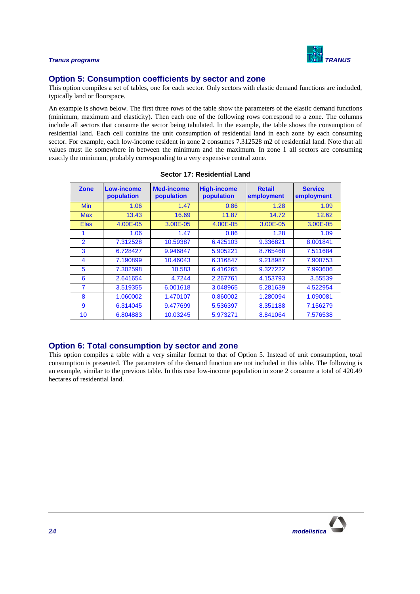![](_page_27_Picture_1.jpeg)

#### **Option 5: Consumption coefficients by sector and zone**

This option compiles a set of tables, one for each sector. Only sectors with elastic demand functions are included, typically land or floorspace.

An example is shown below. The first three rows of the table show the parameters of the elastic demand functions (minimum, maximum and elasticity). Then each one of the following rows correspond to a zone. The columns include all sectors that consume the sector being tabulated. In the example, the table shows the consumption of residential land. Each cell contains the unit consumption of residential land in each zone by each consuming sector. For example, each low-income resident in zone 2 consumes 7.312528 m2 of residential land. Note that all values must lie somewhere in between the minimum and the maximum. In zone 1 all sectors are consuming exactly the minimum, probably corresponding to a very expensive central zone.

| Zone           | <b>Low-income</b><br>population | <b>Med-income</b><br>population | <b>High-income</b><br>population | <b>Retail</b><br>employment | <b>Service</b><br>employment |
|----------------|---------------------------------|---------------------------------|----------------------------------|-----------------------------|------------------------------|
| <b>Min</b>     | 1.06                            | 1.47                            | 0.86                             | 1.28                        | 1.09                         |
| <b>Max</b>     | 13.43                           | 16.69                           | 11.87                            | 14.72                       | 12.62                        |
| <b>Elas</b>    | 4.00E-05                        | 3.00E-05                        | 4.00E-05                         | 3.00E-05                    | 3.00E-05                     |
|                | 1.06                            | 1.47                            | 0.86                             | 1.28                        | 1.09                         |
| $\overline{2}$ | 7.312528                        | 10.59387                        | 6.425103                         | 9.336821                    | 8.001841                     |
| 3              | 6.728427                        | 9.946847                        | 5.905221                         | 8.765468                    | 7.511684                     |
| 4              | 7.190899                        | 10.46043                        | 6.316847                         | 9.218987                    | 7.900753                     |
| 5              | 7.302598                        | 10.583                          | 6.416265                         | 9.327222                    | 7.993606                     |
| 6              | 2.641654                        | 4.7244                          | 2.267761                         | 4.153793                    | 3.55539                      |
| 7              | 3.519355                        | 6.001618                        | 3.048965                         | 5.281639                    | 4.522954                     |
| 8              | 1.060002                        | 1.470107                        | 0.860002                         | 1.280094                    | 1.090081                     |
| 9              | 6.314045                        | 9.477699                        | 5.536397                         | 8.351188                    | 7.156279                     |
| 10             | 6.804883                        | 10.03245                        | 5.973271                         | 8.841064                    | 7.576538                     |

#### **Sector 17: Residential Land**

#### **Option 6: Total consumption by sector and zone**

This option compiles a table with a very similar format to that of Option 5. Instead of unit consumption, total consumption is presented. The parameters of the demand function are not included in this table. The following is an example, similar to the previous table. In this case low-income population in zone 2 consume a total of 420.49 hectares of residential land.

![](_page_27_Picture_9.jpeg)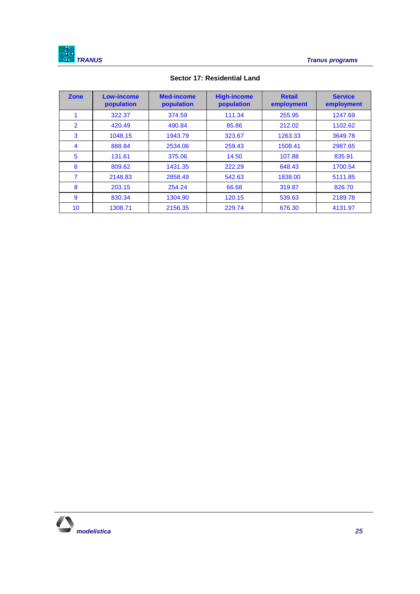![](_page_28_Picture_1.jpeg)

| Zone            | <b>Low-income</b><br>population | <b>Med-income</b><br>population | <b>High-income</b><br>population | <b>Retail</b><br>employment | <b>Service</b><br>employment |
|-----------------|---------------------------------|---------------------------------|----------------------------------|-----------------------------|------------------------------|
|                 | 322.37                          | 374.59                          | 111.34                           | 255.95                      | 1247.69                      |
| $\overline{2}$  | 420.49                          | 490.84                          | 85.86                            | 212.02                      | 1102.62                      |
| 3               | 1048.15                         | 1943.79                         | 323.67                           | 1263.33                     | 3649.78                      |
| 4               | 888.84                          | 2534.06                         | 259.43                           | 1508.41                     | 2987.65                      |
| 5               | 131.61                          | 375.06                          | 14.50                            | 107.88                      | 835.91                       |
| 6               | 809.62                          | 1431.35                         | 222.29                           | 648.43                      | 1700.54                      |
| $\overline{7}$  | 2148.83                         | 2858.49                         | 542.63                           | 1838.00                     | 5111.85                      |
| 8               | 203.15                          | 254.24                          | 66.68                            | 319.87                      | 826.70                       |
| 9               | 830.34                          | 1304.90                         | 120.15                           | 539.63                      | 2189.78                      |
| 10 <sup>°</sup> | 1308.71                         | 2156.35                         | 229.74                           | 676.30                      | 4131.97                      |

#### **Sector 17: Residential Land**

![](_page_28_Picture_4.jpeg)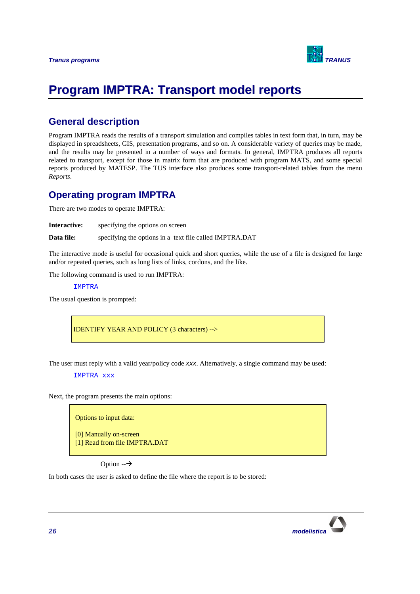![](_page_29_Picture_1.jpeg)

## **Program IMPTRA: Transport model reports**

#### **General description**

Program IMPTRA reads the results of a transport simulation and compiles tables in text form that, in turn, may be displayed in spreadsheets, GIS, presentation programs, and so on. A considerable variety of queries may be made, and the results may be presented in a number of ways and formats. In general, IMPTRA produces all reports related to transport, except for those in matrix form that are produced with program MATS, and some special reports produced by MATESP. The TUS interface also produces some transport-related tables from the menu *Reports*.

#### **Operating program IMPTRA**

There are two modes to operate IMPTRA:

**Interactive:** specifying the options on screen

**Data file:** specifying the options in a text file called IMPTRA.DAT

The interactive mode is useful for occasional quick and short queries, while the use of a file is designed for large and/or repeated queries, such as long lists of links, cordons, and the like.

The following command is used to run IMPTRA:

#### IMPTRA

The usual question is prompted:

IDENTIFY YEAR AND POLICY (3 characters) -->

The user must reply with a valid year/policy code xxx. Alternatively, a single command may be used:

IMPTRA xxx

Next, the program presents the main options:

Options to input data:

 [0] Manually on-screen [1] Read from file IMPTRA.DAT

Option  $-\rightarrow$ 

In both cases the user is asked to define the file where the report is to be stored:

![](_page_29_Picture_21.jpeg)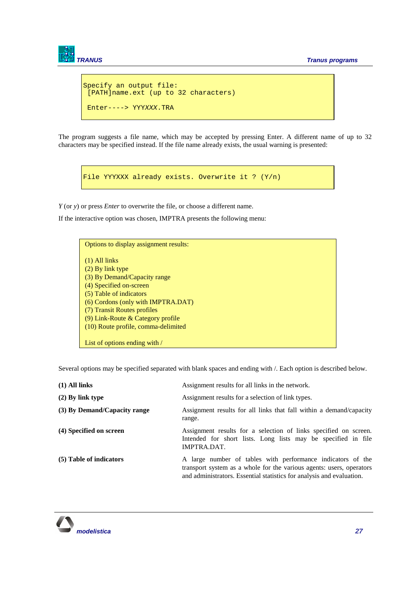![](_page_30_Picture_1.jpeg)

```
Specify an output file: 
 [PATH]name.ext (up to 32 characters) 
 Enter----> YYYXXX.TRA
```
The program suggests a file name, which may be accepted by pressing Enter. A different name of up to 32 characters may be specified instead. If the file name already exists, the usual warning is presented:

File YYYXXX already exists. Overwrite it ? (Y/n)

*Y* (or *y*) or press *Enter* to overwrite the file, or choose a different name.

If the interactive option was chosen, IMPTRA presents the following menu:

| Options to display assignment results:             |  |
|----------------------------------------------------|--|
| $(1)$ All links                                    |  |
| $(2)$ By link type                                 |  |
| (3) By Demand/Capacity range                       |  |
| (4) Specified on-screen<br>(5) Table of indicators |  |
| (6) Cordons (only with IMPTRA.DAT)                 |  |
| (7) Transit Routes profiles                        |  |
| $(9)$ Link-Route & Category profile                |  |
| (10) Route profile, comma-delimited                |  |
|                                                    |  |
| List of options ending with /                      |  |

Several options may be specified separated with blank spaces and ending with /. Each option is described below.

| $(1)$ All links              | Assignment results for all links in the network.                                                                                                                                                             |
|------------------------------|--------------------------------------------------------------------------------------------------------------------------------------------------------------------------------------------------------------|
| $(2)$ By link type           | Assignment results for a selection of link types.                                                                                                                                                            |
| (3) By Demand/Capacity range | Assignment results for all links that fall within a demand/capacity<br>range.                                                                                                                                |
| (4) Specified on screen      | Assignment results for a selection of links specified on screen.<br>Intended for short lists. Long lists may be specified in file<br>IMPTRA.DAT.                                                             |
| (5) Table of indicators      | A large number of tables with performance indicators of the<br>transport system as a whole for the various agents: users, operators<br>and administrators. Essential statistics for analysis and evaluation. |

![](_page_30_Picture_10.jpeg)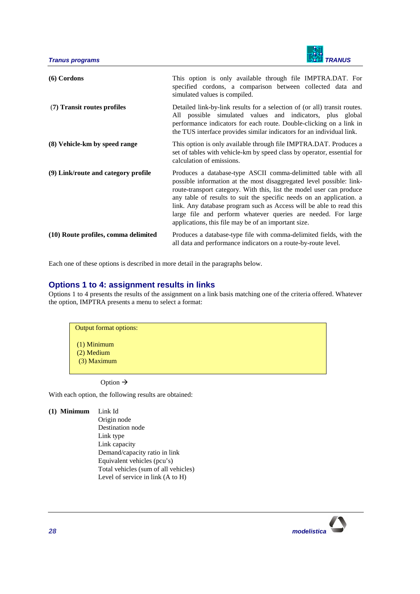![](_page_31_Picture_1.jpeg)

| $(6)$ Cordons                        | This option is only available through file IMPTRA.DAT. For<br>specified cordons, a comparison between collected data and<br>simulated values is compiled.                                                                                                                                                                                                                                                                                                                              |
|--------------------------------------|----------------------------------------------------------------------------------------------------------------------------------------------------------------------------------------------------------------------------------------------------------------------------------------------------------------------------------------------------------------------------------------------------------------------------------------------------------------------------------------|
| (7) Transit routes profiles          | Detailed link-by-link results for a selection of (or all) transit routes.<br>All possible simulated values and indicators, plus global<br>performance indicators for each route. Double-clicking on a link in<br>the TUS interface provides similar indicators for an individual link.                                                                                                                                                                                                 |
| (8) Vehicle-km by speed range        | This option is only available through file IMPTRA.DAT. Produces a<br>set of tables with vehicle-km by speed class by operator, essential for<br>calculation of emissions.                                                                                                                                                                                                                                                                                                              |
| (9) Link/route and category profile  | Produces a database-type ASCII comma-delimitted table with all<br>possible information at the most disaggregated level possible: link-<br>route-transport category. With this, list the model user can produce<br>any table of results to suit the specific needs on an application. a<br>link. Any database program such as Access will be able to read this<br>large file and perform whatever queries are needed. For large<br>applications, this file may be of an important size. |
| (10) Route profiles, comma delimited | Produces a database-type file with comma-delimited fields, with the<br>all data and performance indicators on a route-by-route level.                                                                                                                                                                                                                                                                                                                                                  |

Each one of these options is described in more detail in the paragraphs below.

#### **Options 1 to 4: assignment results in links**

Options 1 to 4 presents the results of the assignment on a link basis matching one of the criteria offered. Whatever the option, IMPTRA presents a menu to select a format:

| Output format options:      |  |  |
|-----------------------------|--|--|
| $(1)$ Minimum<br>(2) Medium |  |  |
| (3) Maximum                 |  |  |

Option  $\rightarrow$ 

With each option, the following results are obtained:

- **(1) Minimum** Link Id
	- Origin node Destination node Link type Link capacity Demand/capacity ratio in link Equivalent vehicles (pcu's) Total vehicles (sum of all vehicles) Level of service in link (A to H)

![](_page_31_Picture_11.jpeg)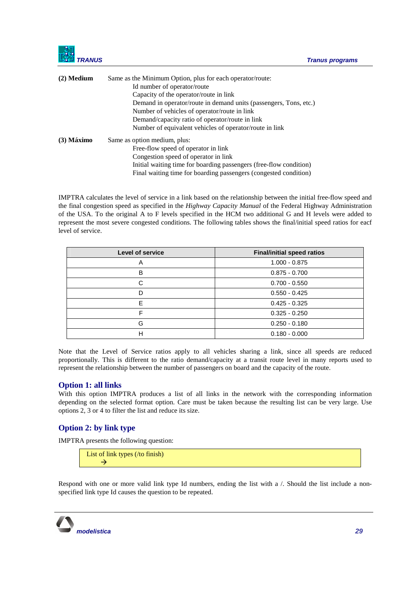| <b>EXECUTE TRANUS</b> | <b>Tranus programs</b>                                             |
|-----------------------|--------------------------------------------------------------------|
| $(2)$ Medium          | Same as the Minimum Option, plus for each operator/route:          |
|                       | Id number of operator/route                                        |
|                       | Capacity of the operator/route in link                             |
|                       | Demand in operator/route in demand units (passengers, Tons, etc.)  |
|                       | Number of vehicles of operator/route in link                       |
|                       | Demand/capacity ratio of operator/route in link                    |
|                       | Number of equivalent vehicles of operator/route in link            |
| $(3)$ Máximo          | Same as option medium, plus:                                       |
|                       | Free-flow speed of operator in link                                |
|                       | Congestion speed of operator in link                               |
|                       | Initial waiting time for boarding passengers (free-flow condition) |
|                       | Final waiting time for boarding passengers (congested condition)   |

IMPTRA calculates the level of service in a link based on the relationship between the initial free-flow speed and the final congestion speed as specified in the *Highway Capacity Manual* of the Federal Highway Administration of the USA. To the original A to F levels specified in the HCM two additional G and H levels were added to represent the most severe congested conditions. The following tables shows the final/initial speed ratios for eacf level of service.

| <b>Level of service</b> | <b>Final/initial speed ratios</b> |
|-------------------------|-----------------------------------|
| A                       | $1.000 - 0.875$                   |
| B                       | $0.875 - 0.700$                   |
| С                       | $0.700 - 0.550$                   |
| D                       | $0.550 - 0.425$                   |
| F                       | $0.425 - 0.325$                   |
| F                       | $0.325 - 0.250$                   |
| G                       | $0.250 - 0.180$                   |
| н                       | $0.180 - 0.000$                   |

Note that the Level of Service ratios apply to all vehicles sharing a link, since all speeds are reduced proportionally. This is different to the ratio demand/capacity at a transit route level in many reports used to represent the relationship between the number of passengers on board and the capacity of the route.

#### **Option 1: all links**

With this option IMPTRA produces a list of all links in the network with the corresponding information depending on the selected format option. Care must be taken because the resulting list can be very large. Use options 2, 3 or 4 to filter the list and reduce its size.

#### **Option 2: by link type**

IMPTRA presents the following question:

 List of link types (/to finish)  $\rightarrow$ 

Respond with one or more valid link type Id numbers, ending the list with a /. Should the list include a nonspecified link type Id causes the question to be repeated.

![](_page_32_Picture_11.jpeg)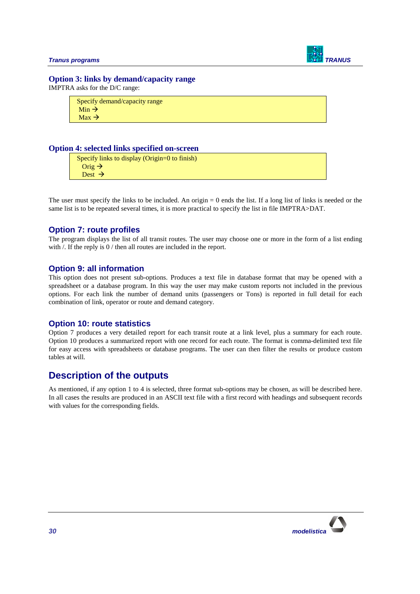#### **Option 3: links by demand/capacity range**

IMPTRA asks for the D/C range:

 Specify demand/capacity range  $Min \rightarrow$  $\text{Max} \rightarrow$ 

#### **Option 4: selected links specified on-screen**

 Specify links to display (Origin=0 to finish) Orig  $\rightarrow$ Dest  $\rightarrow$ 

The user must specify the links to be included. An origin  $= 0$  ends the list. If a long list of links is needed or the same list is to be repeated several times, it is more practical to specify the list in file IMPTRA>DAT.

#### **Option 7: route profiles**

The program displays the list of all transit routes. The user may choose one or more in the form of a list ending with  $\Lambda$ . If the reply is 0  $\prime$  then all routes are included in the report.

#### **Option 9: all information**

This option does not present sub-options. Produces a text file in database format that may be opened with a spreadsheet or a database program. In this way the user may make custom reports not included in the previous options. For each link the number of demand units (passengers or Tons) is reported in full detail for each combination of link, operator or route and demand category.

#### **Option 10: route statistics**

Option 7 produces a very detailed report for each transit route at a link level, plus a summary for each route. Option 10 produces a summarized report with one record for each route. The format is comma-delimited text file for easy access with spreadsheets or database programs. The user can then filter the results or produce custom tables at will.

#### **Description of the outputs**

As mentioned, if any option 1 to 4 is selected, three format sub-options may be chosen, as will be described here. In all cases the results are produced in an ASCII text file with a first record with headings and subsequent records with values for the corresponding fields.

![](_page_33_Picture_16.jpeg)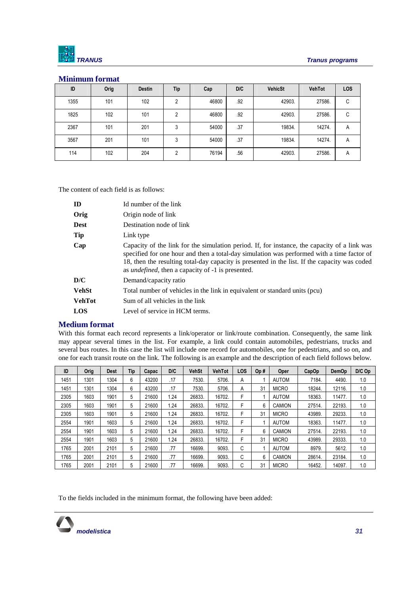![](_page_34_Picture_1.jpeg)

#### **Minimum format**

| ID   | Orig | <b>Destin</b> | <b>Tip</b> | Cap   | D/C | VehicSt | VehTot | <b>LOS</b> |
|------|------|---------------|------------|-------|-----|---------|--------|------------|
| 1355 | 101  | 102           | c          | 46800 | .92 | 42903.  | 27586. | C          |
| 1825 | 102  | 101           | ∩          | 46800 | .92 | 42903.  | 27586. | C          |
| 2367 | 101  | 201           | ົ<br>J     | 54000 | .37 | 19834.  | 14274. | Α          |
| 3567 | 201  | 101           | C<br>J     | 54000 | .37 | 19834.  | 14274. | A          |
| 114  | 102  | 204           | $\Omega$   | 76194 | .56 | 42903.  | 27586. | A          |

The content of each field is as follows:

| Id number of the link                                                                                                                                                                                                                                                                                                                                    |
|----------------------------------------------------------------------------------------------------------------------------------------------------------------------------------------------------------------------------------------------------------------------------------------------------------------------------------------------------------|
| Origin node of link                                                                                                                                                                                                                                                                                                                                      |
| Destination node of link                                                                                                                                                                                                                                                                                                                                 |
| Link type                                                                                                                                                                                                                                                                                                                                                |
| Capacity of the link for the simulation period. If, for instance, the capacity of a link was<br>specified for one hour and then a total-day simulation was performed with a time factor of<br>18, then the resulting total-day capacity is presented in the list. If the capacity was coded<br>as <i>undefined</i> , then a capacity of -1 is presented. |
| Demand/capacity ratio                                                                                                                                                                                                                                                                                                                                    |
| Total number of vehicles in the link in equivalent or standard units (pcu)                                                                                                                                                                                                                                                                               |
| Sum of all vehicles in the link                                                                                                                                                                                                                                                                                                                          |
| Level of service in HCM terms.                                                                                                                                                                                                                                                                                                                           |
|                                                                                                                                                                                                                                                                                                                                                          |

#### **Medium format**

With this format each record represents a link/operator or link/route combination. Consequently, the same link may appear several times in the list. For example, a link could contain automobiles, pedestrians, trucks and several bus routes. In this case the list will include one record for automobiles, one for pedestrians, and so on, and one for each transit route on the link. The following is an example and the description of each field follows below.

| ID   | Orig | <b>Dest</b> | Tip | Capac | D/C  | <b>VehSt</b> | VehTot | LOS | Op# | Oper          | CapOp | <b>DemOp</b> | D/C Op |
|------|------|-------------|-----|-------|------|--------------|--------|-----|-----|---------------|-------|--------------|--------|
| 1451 | 1301 | 1304        | 6   | 43200 | .17  | 7530.        | 5706.  | A   |     | <b>AUTOM</b>  | 7184  | 4490.        | 1.0    |
| 1451 | 1301 | 1304        | 6   | 43200 | .17  | 7530.        | 5706.  | A   | 31  | <b>MICRO</b>  | 18244 | 12116.       | 1.0    |
| 2305 | 1603 | 1901        | 5   | 21600 | .24  | 26833.       | 16702. | F   |     | <b>AUTOM</b>  | 18363 | 11477        | 1.0    |
| 2305 | 1603 | 1901        | 5   | 21600 | .24  | 26833.       | 16702. | F   | 6   | <b>CAMION</b> | 27514 | 22193        | 1.0    |
| 2305 | 1603 | 1901        | 5   | 21600 | 1.24 | 26833.       | 16702. | F   | 31  | <b>MICRO</b>  | 43989 | 29233        | 1.0    |
| 2554 | 1901 | 1603        | 5   | 21600 | 1.24 | 26833.       | 16702. | F   |     | <b>AUTOM</b>  | 18363 | 11477.       | 1.0    |
| 2554 | 1901 | 1603        | 5   | 21600 | 1.24 | 26833.       | 16702. | F   | 6   | <b>CAMION</b> | 27514 | 22193.       | 1.0    |
| 2554 | 1901 | 1603        | 5   | 21600 | 1.24 | 26833.       | 16702. | F   | 31  | <b>MICRO</b>  | 43989 | 29333.       | 1.0    |
| 1765 | 2001 | 2101        | 5   | 21600 | .77  | 16699.       | 9093.  | С   |     | AUTOM         | 8979  | 5612.        | 1.0    |
| 1765 | 2001 | 2101        | 5   | 21600 | .77  | 16699.       | 9093.  | С   | 6   | CAMION        | 28614 | 23184.       | 1.0    |
| 1765 | 2001 | 2101        | 5   | 21600 | .77  | 16699.       | 9093.  | С   | 31  | <b>MICRO</b>  | 16452 | 14097        | 1.0    |

To the fields included in the minimum format, the following have been added:

![](_page_34_Picture_10.jpeg)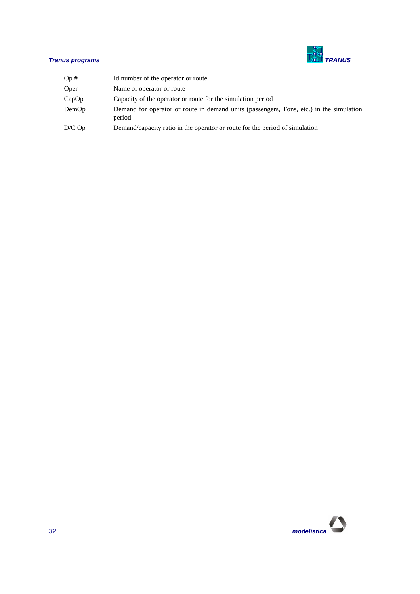![](_page_35_Picture_1.jpeg)

| Op#      | Id number of the operator or route                                                                |
|----------|---------------------------------------------------------------------------------------------------|
| Oper     | Name of operator or route                                                                         |
| CapOp    | Capacity of the operator or route for the simulation period                                       |
| DemOp    | Demand for operator or route in demand units (passengers, Tons, etc.) in the simulation<br>period |
| $D/C$ Op | Demand/capacity ratio in the operator or route for the period of simulation                       |
|          |                                                                                                   |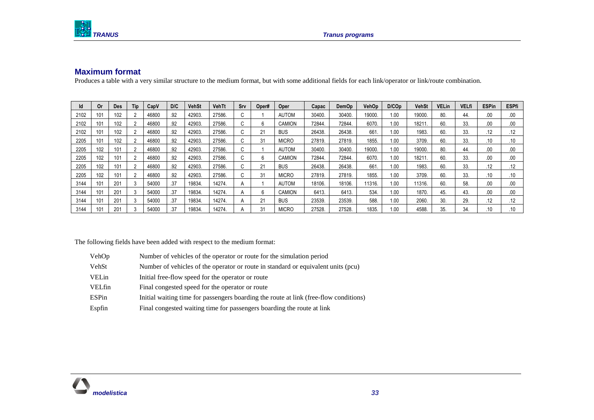![](_page_36_Picture_0.jpeg)

#### **Maximum format**

Produces a table with a very similar structure to the medium format, but with some additional fields for each link/operator or link/route combination.

| Id   | Or  | Des | Tip | CapV  | D/C | VehSt  | VehTt  | Srv         | Oper# | <b>Oper</b>   | Capac  | <b>DemOp</b> | VehOp  | D/CO <sub>p</sub> | <b>VehSt</b> | <b>VELin</b> | VELfi | <b>ESPin</b> | <b>ESPfi</b> |
|------|-----|-----|-----|-------|-----|--------|--------|-------------|-------|---------------|--------|--------------|--------|-------------------|--------------|--------------|-------|--------------|--------------|
| 2102 | 101 | 102 |     | 46800 | .92 | 42903. | 27586. | $\sim$<br>U |       | <b>AUTOM</b>  | 30400. | 30400        | 19000. | 1.00              | 19000.       | 80.          | 44.   | .00          | .00          |
| 2102 | 101 | 102 |     | 46800 | .92 | 42903. | 27586. | $\sim$<br>◡ |       | <b>CAMION</b> | 72844. | 72844.       | 6070.  | 1.00              | 18211        | 60.          | 33.   | .00          | .00          |
| 2102 | 101 | 102 |     | 46800 | .92 | 42903. | 27586. | $\sim$<br>◡ | 21    | <b>BUS</b>    | 26438. | 26438.       | 661    | 1.00              | 1983.        | 60.          | 33.   | .12          | .12          |
| 2205 | 101 | 102 |     | 46800 | .92 | 42903. | 27586. | $\sim$<br>U | 31    | <b>MICRO</b>  | 27819. | 27819.       | 1855.  | 1.00              | 3709.        | 60.          | 33.   | .10          | .10          |
| 2205 | 102 | 101 |     | 46800 | .92 | 42903. | 27586. | $\sim$<br>◡ |       | <b>AUTOM</b>  | 30400  | 30400        | 19000. | 1.00              | 19000.       | 80.          | 44.   | .00          | .00          |
| 2205 | 102 | 101 |     | 46800 | .92 | 42903. | 27586. | $\sim$<br>U | 6     | CAMION        | 72844. | 72844.       | 6070.  | 1.00              | 18211        | 60.          | 33.   | .00          | .00          |
| 2205 | 102 | 101 |     | 46800 | .92 | 42903. | 27586. | $\sim$<br>U | 21    | <b>BUS</b>    | 26438. | 26438.       | 661    | 1.00              | 1983.        | 60.          | 33.   | .12          | .12          |
| 2205 | 102 | 101 |     | 46800 | .92 | 42903. | 27586. | $\sim$<br>U | 31    | <b>MICRO</b>  | 27819. | 27819.       | 1855.  | 1.00              | 3709.        | 60.          | 33.   | .10          | .10          |
| 3144 | 101 | 201 |     | 54000 | .37 | 19834. | 14274. | A           |       | <b>AUTOM</b>  | 18106. | 18106.       | 1316.  | 1.00              | 11316.       | 60.          | 58.   | .00          | .00          |
| 3144 | 101 | 201 |     | 54000 | .37 | 19834. | 14274. | A           | 6     | <b>CAMION</b> | 6413.  | 6413.        | 534.   | 1.00              | 1870.        | 45.          | 43.   | 00           | .00          |
| 3144 | 101 | 201 |     | 54000 | .37 | 19834. | 14274. | A           | 21    | <b>BUS</b>    | 23539. | 23539.       | 588.   | 1.00              | 2060.        | 30.          | 29.   | .12          | .12          |
| 3144 | 101 | 201 |     | 54000 | .37 | 19834. | 14274. |             | 31    | <b>MICRO</b>  | 27528. | 27528.       | 1835.  | 1.00              | 4588.        | 35.          | 34.   | .10          | .10          |

The following fields have been added with respect to the medium format:

- VehOp Number of vehicles of the operator or route for the simulation period
- VehSt Number of vehicles of the operator or route in standard or equivalent units (pcu)
- VELin Initial free-flow speed for the operator or route
- VELfin Final congested speed for the operator or route
- ESPin Initial waiting time for passengers boarding the route at link (free-flow conditions)
- Espfin Final congested waiting time for passengers boarding the route at link

![](_page_36_Picture_12.jpeg)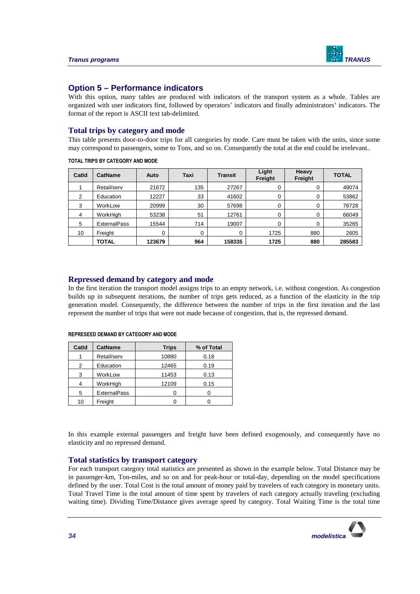![](_page_37_Picture_1.jpeg)

#### **Option 5 – Performance indicators**

With this option, many tables are produced with indicators of the transport system as a whole. Tables are organized with user indicators first, followed by operators' indicators and finally administrators' indicators. The format of the report is ASCII text tab-delimited.

#### **Total trips by category and mode**

This table presents door-to-door trips for all categories by mode. Care must be taken with the units, since some may correspond to passengers, some to Tons, and so on. Consequently the total at the end could be irrelevant..

| TOTAL TRIPS BY CATEGORY AND MODE |
|----------------------------------|
|----------------------------------|

| Catld | CatName             | Auto   | Taxi | <b>Transit</b> | Light<br>Freight | Heavy<br>Freight | <b>TOTAL</b> |
|-------|---------------------|--------|------|----------------|------------------|------------------|--------------|
|       | Retail/serv         | 21672  | 135  | 27267          | 0                |                  | 49074        |
| 2     | Education           | 12227  | 33   | 41602          |                  |                  | 53862        |
| 3     | WorkLow             | 20999  | 30   | 57698          | 0                | 0                | 78728        |
| 4     | WorkHigh            | 53238  | 51   | 12761          | 0                |                  | 66049        |
| 5     | <b>ExternalPass</b> | 15544  | 714  | 19007          |                  |                  | 35265        |
| 10    | Freight             | 0      | 0    | 0              | 1725             | 880              | 2605         |
|       | <b>TOTAL</b>        | 123679 | 964  | 158335         | 1725             | 880              | 285583       |

#### **Repressed demand by category and mode**

In the first iteration the transport model assigns trips to an empty network, i.e. without congestion. As congestion builds up in subsequent iterations, the number of trips gets reduced, as a function of the elasticity in the trip generation model. Consequently, the difference between the number of trips in the first iteration and the last represent the number of trips that were not made because of congestion, that is, the repressed demand.

| Catld | <b>CatName</b>      | <b>Trips</b> | % of Total |
|-------|---------------------|--------------|------------|
|       | Retail/serv         | 10880        | 0.18       |
| 2     | Education           | 12465        | 0.19       |
| 3     | WorkLow             | 11453        | 0.13       |
| 4     | WorkHigh            | 12109        | 0.15       |
| 5     | <b>ExternalPass</b> |              | 0          |
| 10    | Freight             |              |            |

#### **REPRESEED DEMAND BY CATEGORY AND MODE**

In this example external passengers and freight have been defined exogenously, and consequently have no elasticity and no repressed demand.

#### **Total statistics by transport category**

For each transport category total statistics are presented as shown in the example below. Total Distance may be in passenger-km, Ton-miles, and so on and for peak-hour or total-day, depending on the model specifications defined by the user. Total Cost is the total amount of money paid by travelers of each category in monetary units. Total Travel Time is the total amount of time spent by travelers of each category actually traveling (excluding waiting time). Dividing Time/Distance gives average speed by category. Total Waiting Time is the total time

![](_page_37_Picture_15.jpeg)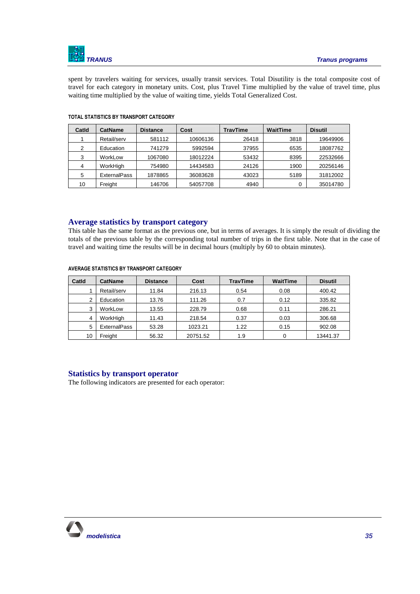![](_page_38_Picture_0.jpeg)

spent by travelers waiting for services, usually transit services. Total Disutility is the total composite cost of travel for each category in monetary units. Cost, plus Travel Time multiplied by the value of travel time, plus waiting time multiplied by the value of waiting time, yields Total Generalized Cost.

| Catld | <b>CatName</b> | <b>Distance</b> | Cost     | <b>TravTime</b> | WaitTime | <b>Disutil</b> |
|-------|----------------|-----------------|----------|-----------------|----------|----------------|
|       | Retail/serv    | 581112          | 10606136 | 26418           | 3818     | 19649906       |
| 2     | Education      | 741279          | 5992594  | 37955           | 6535     | 18087762       |
| 3     | WorkLow        | 1067080         | 18012224 | 53432           | 8395     | 22532666       |
|       | WorkHigh       | 754980          | 14434583 | 24126           | 1900     | 20256146       |
| 5     | ExternalPass   | 1878865         | 36083628 | 43023           | 5189     | 31812002       |
| 10    | Freight        | 146706          | 54057708 | 4940            | 0        | 35014780       |

#### **TOTAL STATISTICS BY TRANSPORT CATEGORY**

#### **Average statistics by transport category**

This table has the same format as the previous one, but in terms of averages. It is simply the result of dividing the totals of the previous table by the corresponding total number of trips in the first table. Note that in the case of travel and waiting time the results will be in decimal hours (multiply by 60 to obtain minutes).

| Catld          | <b>CatName</b>      | <b>Distance</b> | Cost     | <b>TravTime</b> | WaitTime | <b>Disutil</b> |
|----------------|---------------------|-----------------|----------|-----------------|----------|----------------|
|                | Retail/serv         | 11.84           | 216.13   | 0.54            | 0.08     | 400.42         |
| $\overline{2}$ | Education           | 13.76           | 111.26   | 0.7             | 0.12     | 335.82         |
| 3              | WorkLow             | 13.55           | 228.79   | 0.68            | 0.11     | 286.21         |
| 4              | WorkHigh            | 11.43           | 218.54   | 0.37            | 0.03     | 306.68         |
| 5              | <b>ExternalPass</b> | 53.28           | 1023.21  | 1.22            | 0.15     | 902.08         |
| 10             | Freight             | 56.32           | 20751.52 | 1.9             |          | 13441.37       |

#### **AVERAGE STATISTICS BY TRANSPORT CATEGORY**

#### **Statistics by transport operator**

The following indicators are presented for each operator:

![](_page_38_Picture_11.jpeg)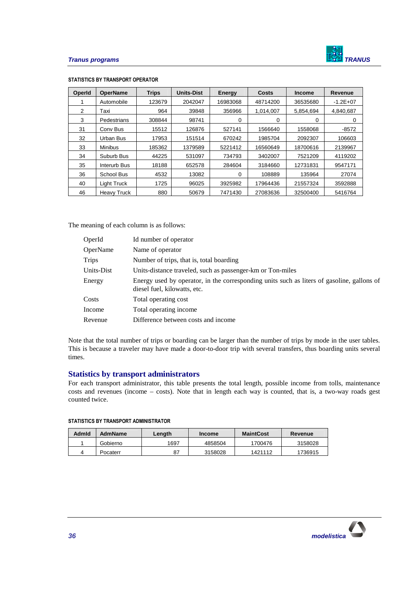![](_page_39_Picture_1.jpeg)

#### **STATISTICS BY TRANSPORT OPERATOR**

| OperId | <b>OperName</b>    | <b>Trips</b> | <b>Units-Dist</b> | <b>Energy</b> | <b>Costs</b> | <b>Income</b> | Revenue      |
|--------|--------------------|--------------|-------------------|---------------|--------------|---------------|--------------|
|        | Automobile         | 123679       | 2042047           | 16983068      | 48714200     | 36535680      | $-1.2E + 07$ |
| 2      | Taxi               | 964          | 39848             | 356966        | 1.014.007    | 5,854,694     | 4,840,687    |
| 3      | Pedestrians        | 308844       | 98741             | 0             | 0            | 0             | 0            |
| 31     | Conv Bus           | 15512        | 126876            | 527141        | 1566640      | 1558068       | $-8572$      |
| 32     | Urban Bus          | 17953        | 151514            | 670242        | 1985704      | 2092307       | 106603       |
| 33     | <b>Minibus</b>     | 185362       | 1379589           | 5221412       | 16560649     | 18700616      | 2139967      |
| 34     | Suburb Bus         | 44225        | 531097            | 734793        | 3402007      | 7521209       | 4119202      |
| 35     | Interurb Bus       | 18188        | 652578            | 284604        | 3184660      | 12731831      | 9547171      |
| 36     | School Bus         | 4532         | 13082             | 0             | 108889       | 135964        | 27074        |
| 40     | Light Truck        | 1725         | 96025             | 3925982       | 17964436     | 21557324      | 3592888      |
| 46     | <b>Heavy Truck</b> | 880          | 50679             | 7471430       | 27083636     | 32500400      | 5416764      |

The meaning of each column is as follows:

| OperId       | Id number of operator                                                                                                      |
|--------------|----------------------------------------------------------------------------------------------------------------------------|
| OperName     | Name of operator                                                                                                           |
| <b>Trips</b> | Number of trips, that is, total boarding                                                                                   |
| Units-Dist   | Units-distance traveled, such as passenger-km or Ton-miles                                                                 |
| Energy       | Energy used by operator, in the corresponding units such as liters of gasoline, gallons of<br>diesel fuel, kilowatts, etc. |
| Costs        | Total operating cost                                                                                                       |
| Income       | Total operating income                                                                                                     |
| Revenue      | Difference between costs and income                                                                                        |

Note that the total number of trips or boarding can be larger than the number of trips by mode in the user tables. This is because a traveler may have made a door-to-door trip with several transfers, thus boarding units several times.

#### **Statistics by transport administrators**

For each transport administrator, this table presents the total length, possible income from tolls, maintenance costs and revenues (income – costs). Note that in length each way is counted, that is, a two-way roads gest counted twice.

| STATISTICS BY TRANSPORT ADMINISTRATOR |
|---------------------------------------|
|---------------------------------------|

| Admld | AdmName  | Length | <b>Income</b> | <b>MaintCost</b> | Revenue |  |
|-------|----------|--------|---------------|------------------|---------|--|
|       | Gobierno | 1697   | 4858504       | 1700476          | 3158028 |  |
| 4     | Pocaterr | 87     | 3158028       | 1421112          | 1736915 |  |

![](_page_39_Picture_11.jpeg)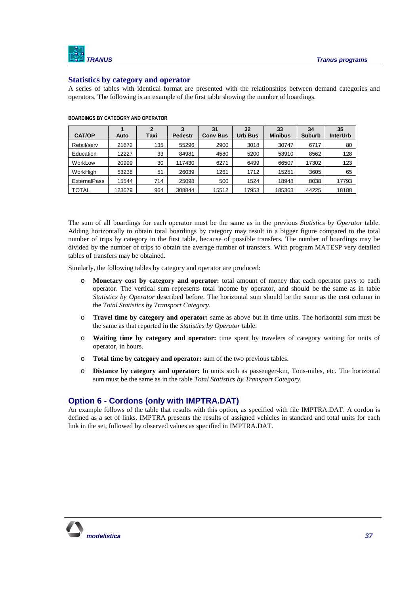![](_page_40_Picture_1.jpeg)

#### **Statistics by category and operator**

A series of tables with identical format are presented with the relationships between demand categories and operators. The following is an example of the first table showing the number of boardings.

| <b>CAT/OP</b>       | Auto   | $\overline{2}$<br>Taxi | 3<br><b>Pedestr</b> | 31<br><b>Conv Bus</b> | 32<br><b>Urb Bus</b> | 33<br><b>Minibus</b> | 34<br><b>Suburb</b> | 35<br><b>InterUrb</b> |
|---------------------|--------|------------------------|---------------------|-----------------------|----------------------|----------------------|---------------------|-----------------------|
| Retail/serv         | 21672  | 135                    | 55296               | 2900                  | 3018                 | 30747                | 6717                | 80                    |
| Education           | 12227  | 33                     | 84981               | 4580                  | 5200                 | 53910                | 8562                | 128                   |
| WorkLow             | 20999  | 30                     | 117430              | 6271                  | 6499                 | 66507                | 17302               | 123                   |
| WorkHigh            | 53238  | 51                     | 26039               | 1261                  | 1712                 | 15251                | 3605                | 65                    |
| <b>ExternalPass</b> | 15544  | 714                    | 25098               | 500                   | 1524                 | 18948                | 8038                | 17793                 |
| <b>TOTAL</b>        | 123679 | 964                    | 308844              | 15512                 | 17953                | 185363               | 44225               | 18188                 |

#### **BOARDINGS BY CATEOGRY AND OPERATOR**

The sum of all boardings for each operator must be the same as in the previous *Statistics by Operator* table. Adding horizontally to obtain total boardings by category may result in a bigger figure compared to the total number of trips by category in the first table, because of possible transfers. The number of boardings may be divided by the number of trips to obtain the average number of transfers. With program MATESP very detailed tables of transfers may be obtained.

Similarly, the following tables by category and operator are produced:

- **Monetary cost by category and operator:** total amount of money that each operator pays to each operator. The vertical sum represents total income by operator, and should be the same as in table *Statistics by Operator* described before. The horizontal sum should be the same as the cost column in the *Total Statistics by Transport Category*.
- o **Travel time by category and operator:** same as above but in time units. The horizontal sum must be the same as that reported in the *Statistics by Operator* table.
- o **Waiting time by category and operator:** time spent by travelers of category waiting for units of operator, in hours.
- o **Total time by category and operator:** sum of the two previous tables.
- o **Distance by category and operator:** In units such as passenger-km, Tons-miles, etc. The horizontal sum must be the same as in the table *Total Statistics by Transport Category*.

#### **Option 6 - Cordons (only with IMPTRA.DAT)**

An example follows of the table that results with this option, as specified with file IMPTRA.DAT. A cordon is defined as a set of links. IMPTRA presents the results of assigned vehicles in standard and total units for each link in the set, followed by observed values as specified in IMPTRA.DAT.

![](_page_40_Picture_15.jpeg)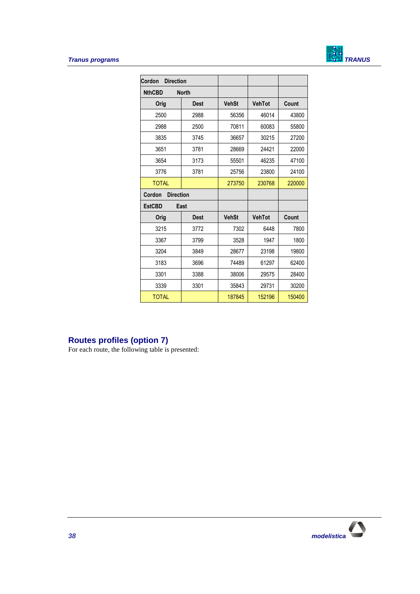![](_page_41_Picture_1.jpeg)

| <b>Direction</b><br>Cordon |                  |              |        |        |
|----------------------------|------------------|--------------|--------|--------|
| <b>NthCBD</b>              | <b>North</b>     |              |        |        |
| Orig                       | <b>Dest</b>      | <b>VehSt</b> | VehTot | Count  |
| 2500                       | 2988             | 56356        | 46014  | 43800  |
| 2988                       | 2500             | 70811        | 60083  | 55800  |
| 3835                       | 3745             | 36657        | 30215  | 27200  |
| 3651                       | 3781             | 28669        | 24421  | 22000  |
| 3654                       | 3173             | 55501        | 46235  | 47100  |
| 3776                       | 3781             | 25756        | 23800  | 24100  |
| <b>TOTAL</b>               |                  | 273750       | 230768 | 220000 |
| Cordon                     | <b>Direction</b> |              |        |        |
| <b>EstCBD</b>              | East             |              |        |        |
| Orig                       | <b>Dest</b>      | <b>VehSt</b> | VehTot | Count  |
| 3215                       | 3772             | 7302         | 6448   | 7800   |
| 3367                       | 3799             | 3528         | 1947   | 1800   |
| 3204                       | 3849             | 28677        | 23198  | 19800  |
| 3183                       | 3696             | 74489        | 61297  | 62400  |
| 3301                       | 3388             | 38006        | 29575  | 28400  |
| 3339                       | 3301             | 35843        | 29731  | 30200  |
| <b>TOTAL</b>               |                  | 187845       | 152196 | 150400 |

#### **Routes profiles (option 7)**

For each route, the following table is presented:

![](_page_41_Picture_5.jpeg)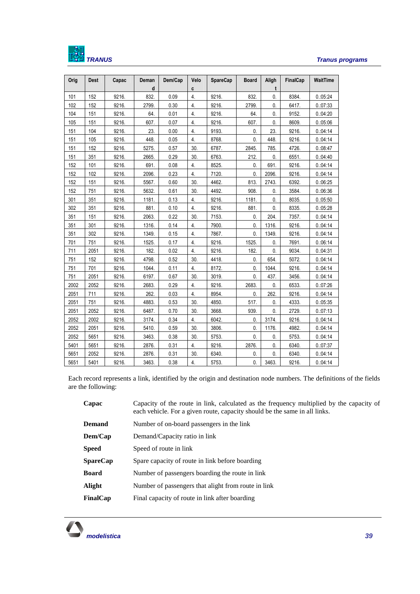![](_page_42_Picture_0.jpeg)

| Orig | <b>Dest</b> | Capac | Deman | Dem/Cap | Velo             | <b>SpareCap</b> | <b>Board</b> | Aligh        | FinalCap | WaitTime |
|------|-------------|-------|-------|---------|------------------|-----------------|--------------|--------------|----------|----------|
|      |             |       | d     |         | C                |                 |              | t            |          |          |
| 101  | 152         | 9216. | 832.  | 0.09    | 4.               | 9216.           | 832.         | 0.           | 8384.    | 0.05.24  |
| 102  | 152         | 9216. | 2799. | 0.30    | 4.               | 9216.           | 2799.        | 0.           | 6417.    | 0.07:33  |
| 104  | 151         | 9216. | 64.   | 0.01    | 4.               | 9216.           | 64.          | 0.           | 9152.    | 0.04:20  |
| 105  | 151         | 9216. | 607.  | 0.07    | $\overline{4}$ . | 9216.           | 607.         | 0.           | 8609.    | 0.05.06  |
| 151  | 104         | 9216. | 23.   | 0.00    | 4.               | 9193.           | 0.           | 23.          | 9216.    | 0.04:14  |
| 151  | 105         | 9216. | 448.  | 0.05    | 4.               | 8768.           | $\mathbf{0}$ | 448.         | 9216.    | 0.04:14  |
| 151  | 152         | 9216. | 5275. | 0.57    | 30.              | 6787.           | 2845.        | 785.         | 4726.    | 0.08:47  |
| 151  | 351         | 9216. | 2665. | 0.29    | 30.              | 6763.           | 212.         | 0.           | 6551.    | 0.04:40  |
| 152  | 101         | 9216. | 691.  | 0.08    | 4.               | 8525.           | 0.           | 691.         | 9216.    | 0.04:14  |
| 152  | 102         | 9216. | 2096. | 0.23    | 4.               | 7120.           | 0.           | 2096.        | 9216.    | 0.04:14  |
| 152  | 151         | 9216. | 5567. | 0.60    | 30.              | 4462.           | 813.         | 2743.        | 6392.    | 0.06:25  |
| 152  | 751         | 9216. | 5632. | 0.61    | 30.              | 4492.           | 908.         | 0.           | 3584.    | 0.06.36  |
| 301  | 351         | 9216. | 1181. | 0.13    | 4.               | 9216.           | 1181.        | $\mathbf{0}$ | 8035.    | 0.05:50  |
| 302  | 351         | 9216. | 881.  | 0.10    | 4.               | 9216.           | 881.         | $\mathbf{0}$ | 8335.    | 0.05:28  |
| 351  | 151         | 9216. | 2063. | 0.22    | 30.              | 7153.           | 0.           | 204.         | 7357.    | 0.04:14  |
| 351  | 301         | 9216. | 1316. | 0.14    | 4.               | 7900.           | $\mathbf{0}$ | 1316.        | 9216.    | 0.04.14  |
| 351  | 302         | 9216. | 1349. | 0.15    | 4.               | 7867.           | 0.           | 1349.        | 9216.    | 0.04:14  |
| 701  | 751         | 9216. | 1525. | 0.17    | 4.               | 9216.           | 1525.        | 0.           | 7691.    | 0.06:14  |
| 711  | 2051        | 9216. | 182.  | 0.02    | 4.               | 9216.           | 182.         | $\mathbf{0}$ | 9034.    | 0.0431   |
| 751  | 152         | 9216. | 4798. | 0.52    | 30.              | 4418.           | 0.           | 654.         | 5072.    | 0.04:14  |
| 751  | 701         | 9216. | 1044. | 0.11    | 4.               | 8172.           | 0.           | 1044.        | 9216.    | 0.04.14  |
| 751  | 2051        | 9216. | 6197. | 0.67    | 30.              | 3019.           | $\mathbf{0}$ | 437.         | 3456.    | 0.04:14  |
| 2002 | 2052        | 9216. | 2683. | 0.29    | 4.               | 9216.           | 2683.        | 0.           | 6533.    | 0.07.26  |
| 2051 | 711         | 9216. | 262.  | 0.03    | 4.               | 8954.           | 0.           | 262.         | 9216.    | 0.04:14  |
| 2051 | 751         | 9216. | 4883. | 0.53    | 30.              | 4850.           | 517.         | 0.           | 4333.    | 0.05:35  |
| 2051 | 2052        | 9216. | 6487. | 0.70    | 30.              | 3668.           | 939.         | 0.           | 2729.    | 0.07:13  |
| 2052 | 2002        | 9216. | 3174. | 0.34    | 4.               | 6042.           | 0.           | 3174.        | 9216.    | 0.04.14  |
| 2052 | 2051        | 9216. | 5410. | 0.59    | 30.              | 3806.           | 0.           | 1176.        | 4982.    | 0.04:14  |
| 2052 | 5651        | 9216. | 3463. | 0.38    | 30.              | 5753.           | 0.           | 0.           | 5753.    | 0.04:14  |
| 5401 | 5651        | 9216. | 2876. | 0.31    | 4.               | 9216.           | 2876.        | $\mathbf{0}$ | 6340.    | 0.07:37  |
| 5651 | 2052        | 9216. | 2876. | 0.31    | 30.              | 6340.           | 0.           | 0.           | 6340.    | 0.04:14  |
| 5651 | 5401        | 9216. | 3463. | 0.38    | $\overline{4}$ . | 5753.           | $\mathbf{0}$ | 3463.        | 9216.    | 0.04:14  |

Each record represents a link, identified by the origin and destination node numbers. The definitions of the fields are the following:

| Capac           | Capacity of the route in link, calculated as the frequency multiplied by the capacity of<br>each vehicle. For a given route, capacity should be the same in all links. |
|-----------------|------------------------------------------------------------------------------------------------------------------------------------------------------------------------|
| <b>Demand</b>   | Number of on-board passengers in the link                                                                                                                              |
| Dem/Cap         | Demand/Capacity ratio in link                                                                                                                                          |
| <b>Speed</b>    | Speed of route in link                                                                                                                                                 |
| <b>SpareCap</b> | Spare capacity of route in link before boarding                                                                                                                        |
| <b>Board</b>    | Number of passengers boarding the route in link                                                                                                                        |
| Alight          | Number of passengers that alight from route in link                                                                                                                    |
| FinalCap        | Final capacity of route in link after boarding                                                                                                                         |
|                 |                                                                                                                                                                        |

![](_page_42_Picture_5.jpeg)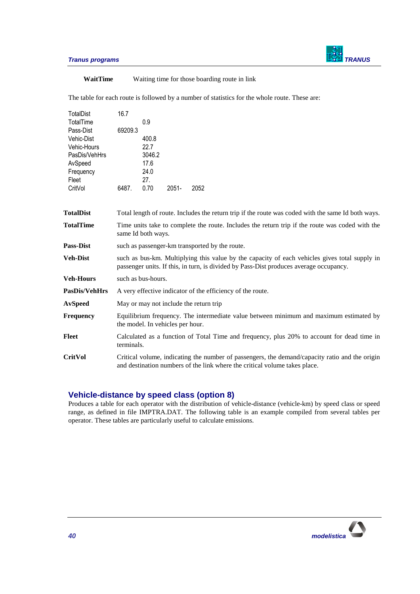![](_page_43_Picture_1.jpeg)

#### **WaitTime** Waiting time for those boarding route in link

The table for each route is followed by a number of statistics for the whole route. These are:

| TotalDist     | 16.7    |        |       |      |
|---------------|---------|--------|-------|------|
| TotalTime     |         | 0.9    |       |      |
| Pass-Dist     | 69209.3 |        |       |      |
| Vehic-Dist    |         | 400.8  |       |      |
| Vehic-Hours   |         | 22.7   |       |      |
| PasDis/VehHrs |         | 3046.2 |       |      |
| AvSpeed       |         | 17.6   |       |      |
| Frequency     |         | 24.0   |       |      |
| Fleet         |         | 27.    |       |      |
| CritVol       | 6487    | 0.70   | 2051- | 2052 |

**TotalDist** Total length of route. Includes the return trip if the route was coded with the same Id both ways.

**TotalTime** Time units take to complete the route. Includes the return trip if the route was coded with the same Id both ways.

**Pass-Dist** such as passenger-km transported by the route.

**Veh-Dist** such as bus-km. Multiplying this value by the capacity of each vehicles gives total supply in passenger units. If this, in turn, is divided by Pass-Dist produces average occupancy.

- **Veh-Hours** such as bus-hours.
- PasDis/VehHrs A very effective indicator of the efficiency of the route.
- **AvSpeed** May or may not include the return trip
- **Frequency** Equilibrium frequency. The intermediate value between minimum and maximum estimated by the model. In vehicles per hour.
- **Fleet** Calculated as a function of Total Time and frequency, plus 20% to account for dead time in terminals.
- **CritVol** Critical volume, indicating the number of passengers, the demand/capacity ratio and the origin and destination numbers of the link where the critical volume takes place.

#### **Vehicle-distance by speed class (option 8)**

Produces a table for each operator with the distribution of vehicle-distance (vehicle-km) by speed class or speed range, as defined in file IMPTRA.DAT. The following table is an example compiled from several tables per operator. These tables are particularly useful to calculate emissions.

![](_page_43_Picture_17.jpeg)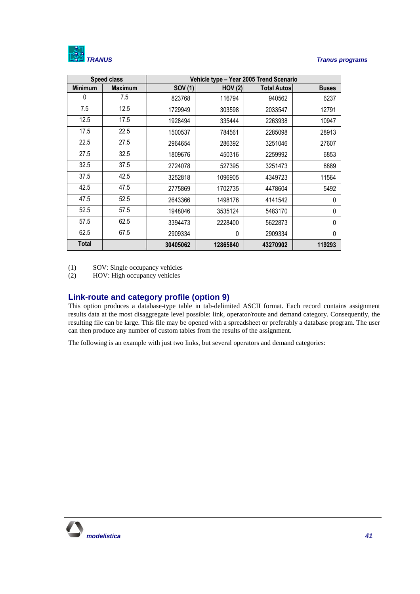![](_page_44_Picture_1.jpeg)

|                | <b>Speed class</b> | Vehicle type - Year 2005 Trend Scenario |          |          |              |  |  |  |  |  |
|----------------|--------------------|-----------------------------------------|----------|----------|--------------|--|--|--|--|--|
| <b>Minimum</b> | <b>Maximum</b>     | <b>SOV (1)</b>                          | HOV(2)   |          | <b>Buses</b> |  |  |  |  |  |
| $\Omega$       | 7.5                | 823768                                  | 116794   | 940562   | 6237         |  |  |  |  |  |
| 7.5            | 12.5               | 1729949                                 | 303598   | 2033547  | 12791        |  |  |  |  |  |
| 12.5           | 17.5               | 1928494                                 | 335444   | 2263938  | 10947        |  |  |  |  |  |
| 17.5           | 22.5               | 1500537                                 | 784561   | 2285098  | 28913        |  |  |  |  |  |
| 22.5           | 27.5               | 2964654                                 | 286392   | 3251046  | 27607        |  |  |  |  |  |
| 27.5           | 32.5               | 1809676                                 | 450316   | 2259992  | 6853         |  |  |  |  |  |
| 32.5           | 37.5               | 2724078                                 | 527395   | 3251473  | 8889         |  |  |  |  |  |
| 37.5           | 42.5               | 3252818                                 | 1096905  | 4349723  | 11564        |  |  |  |  |  |
| 42.5           | 47.5               | 2775869                                 | 1702735  | 4478604  | 5492         |  |  |  |  |  |
| 47.5           | 52.5               | 2643366                                 | 1498176  | 4141542  | 0            |  |  |  |  |  |
| 52.5           | 57.5               | 1948046                                 | 3535124  | 5483170  | 0            |  |  |  |  |  |
| 57.5           | 62.5               | 3394473                                 | 2228400  | 5622873  | 0            |  |  |  |  |  |
| 62.5           | 67.5               | 2909334                                 | 0        | 2909334  | $\mathbf 0$  |  |  |  |  |  |
| <b>Total</b>   |                    | 30405062                                | 12865840 | 43270902 | 119293       |  |  |  |  |  |

(1) SOV: Single occupancy vehicles

(2) HOV: High occupancy vehicles

#### **Link-route and category profile (option 9)**

This option produces a database-type table in tab-delimited ASCII format. Each record contains assignment results data at the most disaggregate level possible: link, operator/route and demand category. Consequently, the resulting file can be large. This file may be opened with a spreadsheet or preferably a database program. The user can then produce any number of custom tables from the results of the assignment.

The following is an example with just two links, but several operators and demand categories:

![](_page_44_Picture_8.jpeg)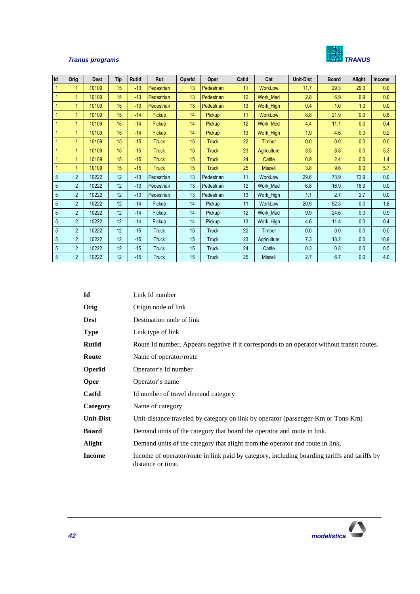![](_page_45_Picture_1.jpeg)

| Id             | Orig           | <b>Dest</b> | Tip | <b>Rutld</b> | Rut          | OperId | Oper          | Catld | Cat              | <b>Unit-Dist</b> | <b>Board</b> | Alight | Income |
|----------------|----------------|-------------|-----|--------------|--------------|--------|---------------|-------|------------------|------------------|--------------|--------|--------|
| $\mathbf{1}$   | 1              | 10109       | 15  | $-13$        | Pedestrian   | 13     | Pedestrian    | 11    | <b>WorkLow</b>   | 11.7             | 29.3         | 29.3   | 0.0    |
| $\mathbf{1}$   | $\mathbf{1}$   | 10109       | 15  | $-13$        | Pedestrian   | 13     | Pedestrian    | 12    | <b>Work Med</b>  | 2.8              | 6.9          | 6.9    | 0.0    |
|                | 1              | 10109       | 15  | $-13$        | Pedestrian   | 13     | Pedestrian    | 13    | <b>Work High</b> | 0.4              | 1.0          | 1.0    | 0.0    |
| $\overline{1}$ | $\mathbf{1}$   | 10109       | 15  | $-14$        | Pickup       | 14     | <b>Pickup</b> | 11    | <b>WorkLow</b>   | 8.8              | 21.9         | 0.0    | 0.8    |
| $\mathbf{1}$   | $\mathbf{1}$   | 10109       | 15  | $-14$        | Pickup       | 14     | <b>Pickup</b> | 12    | <b>Work Med</b>  | 4.4              | 11.1         | 0.0    | 0.4    |
| $\mathbf{1}$   | $\mathbf{1}$   | 10109       | 15  | $-14$        | Pickup       | 14     | Pickup        | 13    | Work_High        | 1.9              | 4.6          | 0.0    | 0.2    |
| $\mathbf{1}$   | 1              | 10109       | 15  | $-15$        | <b>Truck</b> | 15     | <b>Truck</b>  | 22    | <b>Timber</b>    | 0.0              | 0.0          | 0.0    | 0.0    |
| $\mathbf{1}$   | $\mathbf{1}$   | 10109       | 15  | $-15$        | <b>Truck</b> | 15     | <b>Truck</b>  | 23    | Agriculture      | 3.5              | 8.8          | 0.0    | 5.3    |
| $\mathbf{1}$   | $\mathbf{1}$   | 10109       | 15  | $-15$        | <b>Truck</b> | 15     | <b>Truck</b>  | 24    | Cattle           | 0.9              | 2.4          | 0.0    | 1.4    |
| $\mathbf{1}$   | $\mathbf{1}$   | 10109       | 15  | $-15$        | <b>Truck</b> | 15     | <b>Truck</b>  | 25    | <b>Miscell</b>   | 3.8              | 9.6          | 0.0    | 5.7    |
| 5              | $\overline{2}$ | 10222       | 12  | $-13$        | Pedestrian   | 13     | Pedestrian    | 11    | WorkLow          | 29.6             | 73.9         | 73.9   | 0.0    |
| 5              | $\overline{2}$ | 10222       | 12  | $-13$        | Pedestrian   | 13     | Pedestrian    | 12    | Work_Med         | 6.8              | 16.9         | 16.9   | 0.0    |
| 5              | $\overline{2}$ | 10222       | 12  | $-13$        | Pedestrian   | 13     | Pedestrian    | 13    | Work High        | 1.1              | 2.7          | 2.7    | 0.0    |
| 5              | $\overline{2}$ | 10222       | 12  | $-14$        | Pickup       | 14     | Pickup        | 11    | WorkLow          | 20.9             | 52.3         | 0.0    | 1.8    |
| 5              | $\overline{2}$ | 10222       | 12  | $-14$        | Pickup       | 14     | Pickup        | 12    | Work Med         | 9.9              | 24.6         | 0.0    | 0.9    |
| 5              | $\overline{2}$ | 10222       | 12  | $-14$        | Pickup       | 14     | Pickup        | 13    | Work_High        | 4.6              | 11.4         | 0.0    | 0.4    |
| 5              | $\overline{2}$ | 10222       | 12  | $-15$        | <b>Truck</b> | 15     | <b>Truck</b>  | 22    | Timber           | 0.0              | 0.0          | 0.0    | 0.0    |
| 5              | $\overline{2}$ | 10222       | 12  | $-15$        | <b>Truck</b> | 15     | <b>Truck</b>  | 23    | Agriculture      | 7.3              | 18.2         | 0.0    | 10.9   |
| 5              | $\overline{2}$ | 10222       | 12  | $-15$        | <b>Truck</b> | 15     | Truck         | 24    | Cattle           | 0.3              | 0.8          | 0.0    | 0.5    |
| 5              | $\mathfrak{p}$ | 10222       | 12  | $-15$        | <b>Truck</b> | 15     | Truck         | 25    | <b>Miscell</b>   | 2.7              | 6.7          | 0.0    | 4.0    |

| Id               | Link Id number                                                                                                    |
|------------------|-------------------------------------------------------------------------------------------------------------------|
| Orig             | Origin node of link                                                                                               |
| <b>Dest</b>      | Destination node of link                                                                                          |
| <b>Type</b>      | Link type of link                                                                                                 |
| RutId            | Route Id number. Appears negative if it corresponds to an operator without transit routes.                        |
| Route            | Name of operator/route                                                                                            |
| OperId           | Operator's Id number                                                                                              |
| <b>Oper</b>      | Operator's name                                                                                                   |
| CatId            | Id number of travel demand category                                                                               |
| Category         | Name of category                                                                                                  |
| <b>Unit-Dist</b> | Unit-distance traveled by category on link by operator (passenger-Km or Tons-Km)                                  |
| <b>Board</b>     | Demand units of the category that board the operator and route in link.                                           |
| Alight           | Demand units of the category that alight from the operator and route in link.                                     |
| Income           | Income of operator/route in link paid by category, including boarding tariffs and tariffs by<br>distance or time. |

![](_page_45_Picture_4.jpeg)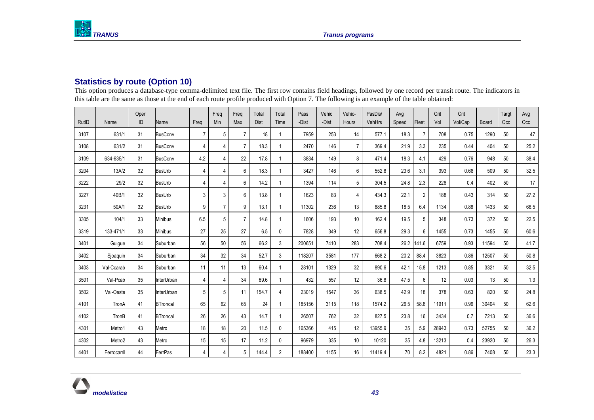![](_page_46_Picture_0.jpeg)

#### **Statistics by route (Option 10)**

 This option produces a database-type comma-delimited text file. The first row contains field headings, followed by one record per transit route. The indicators in this table are the same as those at the end of each route profile produced with Option 7. The following is an example of the table obtained:

| RutID | Name               | Oper<br>ID | Name              | Frea           | Frea<br>Min    | Frea<br>Max    | Total<br><b>Dist</b> | Total<br>Time | Pass<br>-Dist | Vehic<br>-Dist | Vehic-<br><b>Hours</b> | PasDis/<br>VehHrs | Avg<br>Speed | Fleet          | Crit<br>Vol | Crit<br>Vol/Cap | Board | Targt<br>Occ | Avg<br>Occ |
|-------|--------------------|------------|-------------------|----------------|----------------|----------------|----------------------|---------------|---------------|----------------|------------------------|-------------------|--------------|----------------|-------------|-----------------|-------|--------------|------------|
| 3107  | 631/1              | 31         | <b>BusConv</b>    | $\overline{7}$ | 5              | $\overline{7}$ | 18                   | -1            | 7959          | 253            | 14                     | 577.1             | 18.3         | $\overline{7}$ | 708         | 0.75            | 1290  | 50           | 47         |
| 3108  | 631/2              | 31         | <b>BusConv</b>    | $\overline{4}$ | $\overline{4}$ | $\overline{7}$ | 18.3                 | -1            | 2470          | 146            | $\overline{7}$         | 369.4             | 21.9         | 3.3            | 235         | 0.44            | 404   | 50           | 25.2       |
| 3109  | 634-635/1          | 31         | <b>BusConv</b>    | 4.2            | $\overline{4}$ | 22             | 17.8                 | -1            | 3834          | 149            | 8                      | 471.4             | 18.3         | 4.1            | 429         | 0.76            | 948   | 50           | 38.4       |
| 3204  | 13A/2              | 32         | <b>BusUrb</b>     | 4              | $\overline{4}$ | 6              | 18.3                 | -1            | 3427          | 146            | 6                      | 552.8             | 23.6         | 3.1            | 393         | 0.68            | 509   | 50           | 32.5       |
| 3222  | 29/2               | 32         | <b>BusUrb</b>     | $\overline{4}$ | 4              | 6              | 14.2                 |               | 1394          | 114            | 5                      | 304.5             | 24.8         | 2.3            | 228         | 0.4             | 402   | 50           | 17         |
| 3227  | 40B/1              | 32         | <b>BusUrb</b>     | 3              | 3              | 6              | 13.8                 |               | 1623          | 83             | 4                      | 434.3             | 22.1         | $\overline{2}$ | 188         | 0.43            | 314   | 50           | 27.2       |
| 3231  | 50A/1              | 32         | <b>BusUrb</b>     | 9              | $\overline{7}$ | 9              | 13.1                 | -1            | 11302         | 236            | 13                     | 885.8             | 18.5         | 6.4            | 1134        | 0.88            | 1433  | 50           | 66.5       |
| 3305  | 104/1              | 33         | <b>Minibus</b>    | 6.5            | 5              | $\overline{7}$ | 14.8                 | -1            | 1606          | 193            | 10                     | 162.4             | 19.5         | 5              | 348         | 0.73            | 372   | 50           | 22.5       |
| 3319  | 133-471/1          | 33         | <b>Minibus</b>    | 27             | 25             | 27             | 6.5                  | $\mathbf{0}$  | 7828          | 349            | 12                     | 656.8             | 29.3         | 6              | 1455        | 0.73            | 1455  | 50           | 60.6       |
| 3401  | Guigue             | 34         | Suburban          | 56             | 50             | 56             | 66.2                 | 3             | 200651        | 7410           | 283                    | 708.4             | 26.2         | 141.6          | 6759        | 0.93            | 11594 | 50           | 41.7       |
| 3402  | Sjoaquin           | 34         | Suburban          | 34             | 32             | 34             | 52.7                 | 3             | 118207        | 3581           | 177                    | 668.2             | 20.2         | 88.4           | 3823        | 0.86            | 12507 | 50           | 50.8       |
| 3403  | Val-Ccarab         | 34         | Suburban          | 11             | 11             | 13             | 60.4                 | 1             | 28101         | 1329           | 32                     | 890.6             | 42.1         | 15.8           | 1213        | 0.85            | 3321  | 50           | 32.5       |
| 3501  | Val-Pcab           | 35         | <b>InterUrban</b> | $\overline{4}$ | 4              | 34             | 69.6                 | -1            | 432           | 557            | 12                     | 36.8              | 47.5         | 6              | 12          | 0.03            | 13    | 50           | 1.3        |
| 3502  | Val-Oeste          | 35         | InterUrban        | 5              | 5              | 11             | 154.7                | 4             | 23019         | 1547           | 36                     | 638.5             | 42.9         | 18             | 378         | 0.63            | 820   | 50           | 24.8       |
| 4101  | TronA              | 41         | <b>BTroncal</b>   | 65             | 62             | 65             | 24                   | -1            | 185156        | 3115           | 118                    | 1574.2            | 26.5         | 58.8           | 11911       | 0.96            | 30404 | 50           | 62.6       |
| 4102  | TronB              | 41         | <b>BTroncal</b>   | 26             | 26             | 43             | 14.7                 | -1            | 26507         | 762            | 32                     | 827.5             | 23.8         | 16             | 3434        | 0.7             | 7213  | 50           | 36.6       |
| 4301  | Metro1             | 43         | Metro             | 18             | 18             | 20             | 11.5                 | $\mathbf{0}$  | 165366        | 415            | 12                     | 13955.9           | 35           | 5.9            | 28943       | 0.73            | 52755 | 50           | 36.2       |
| 4302  | Metro <sub>2</sub> | 43         | Metro             | 15             | 15             | 17             | 11.2                 | $\mathbf{0}$  | 96979         | 335            | 10                     | 10120             | 35           | 4.8            | 13213       | 0.4             | 23920 | 50           | 26.3       |
| 4401  | Ferrocarril        | 44         | FerrPas           | $\overline{4}$ | $\overline{4}$ | 5              | 144.4                | 2             | 188400        | 1155           | 16                     | 11419.4           | 70           | 8.2            | 4821        | 0.86            | 7408  | 50           | 23.3       |

![](_page_46_Picture_5.jpeg)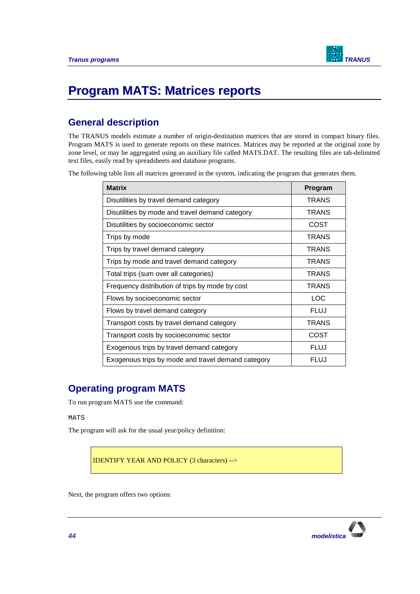![](_page_47_Picture_1.jpeg)

### **Program MATS: Matrices reports**

### **General description**

The TRANUS models estimate a number of origin-destination matrices that are stored in compact binary files. Program MATS is used to generate reports on these matrices. Matrices may be reported at the original zone by zone level, or may be aggregated using an auxiliary file called MATS.DAT. The resulting files are tab-delimited text files, easily read by spreadsheets and database programs.

The following table lists all matrices generated in the system, indicating the program that generates them.

| <b>Matrix</b>                                      | Program      |
|----------------------------------------------------|--------------|
| Disutilities by travel demand category             | <b>TRANS</b> |
| Disutilities by mode and travel demand category    | <b>TRANS</b> |
| Disutilities by socioeconomic sector               | COST         |
| Trips by mode                                      | <b>TRANS</b> |
| Trips by travel demand category                    | <b>TRANS</b> |
| Trips by mode and travel demand category           | <b>TRANS</b> |
| Total trips (sum over all categories)              | <b>TRANS</b> |
| Frequency distribution of trips by mode by cost    | <b>TRANS</b> |
| Flows by socioeconomic sector                      | <b>LOC</b>   |
| Flows by travel demand category                    | <b>FLUJ</b>  |
| Transport costs by travel demand category          | <b>TRANS</b> |
| Transport costs by socioeconomic sector            | COST         |
| Exogenous trips by travel demand category          | <b>FLUJ</b>  |
| Exogenous trips by mode and travel demand category | <b>FLUJ</b>  |

### **Operating program MATS**

To run program MATS use the command:

MATS

The program will ask for the usual year/policy definition:

IDENTIFY YEAR AND POLICY (3 characters) -->

Next, the program offers two options:

![](_page_47_Picture_13.jpeg)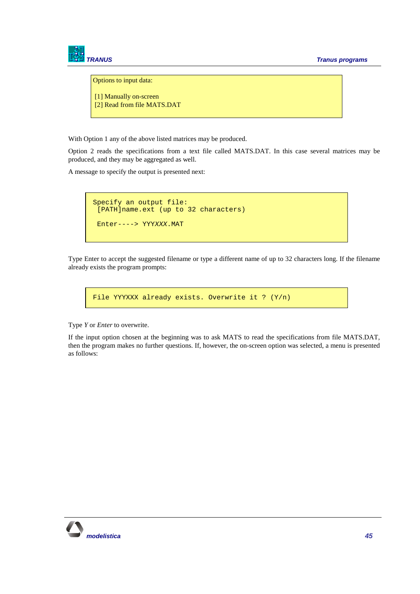![](_page_48_Picture_1.jpeg)

Options to input data:

```
[1] Manually on-screen
 [2] Read from file MATS.DAT
```
With Option 1 any of the above listed matrices may be produced.

Option 2 reads the specifications from a text file called MATS.DAT. In this case several matrices may be produced, and they may be aggregated as well.

A message to specify the output is presented next:

```
Specify an output file: 
  [PATH]name.ext (up to 32 characters) 
  Enter----> YYYXXX.MAT
```
Type Enter to accept the suggested filename or type a different name of up to 32 characters long. If the filename already exists the program prompts:

|  |  | File YYYXXX already exists. Overwrite it ? (Y/n) |  |  |
|--|--|--------------------------------------------------|--|--|
|  |  |                                                  |  |  |

Type *Y* or *Enter* to overwrite.

If the input option chosen at the beginning was to ask MATS to read the specifications from file MATS.DAT, then the program makes no further questions. If, however, the on-screen option was selected, a menu is presented as follows:

![](_page_48_Picture_12.jpeg)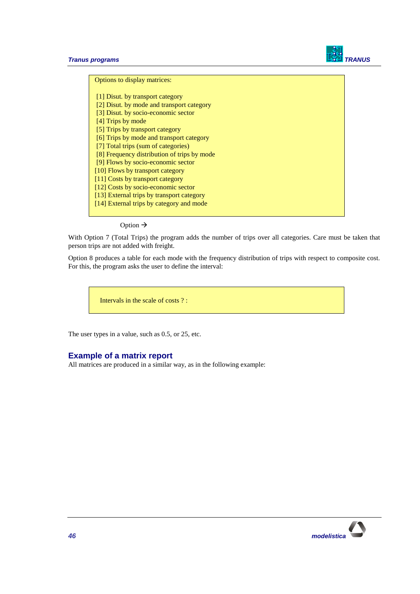![](_page_49_Picture_1.jpeg)

 Options to display matrices: [1] Disut. by transport category [2] Disut. by mode and transport category [3] Disut. by socio-economic sector [4] Trips by mode [5] Trips by transport category [6] Trips by mode and transport category [7] Total trips (sum of categories) [8] Frequency distribution of trips by mode [9] Flows by socio-economic sector [10] Flows by transport category [11] Costs by transport category [12] Costs by socio-economic sector [13] External trips by transport category [14] External trips by category and mode

Option  $\rightarrow$ 

With Option 7 (Total Trips) the program adds the number of trips over all categories. Care must be taken that person trips are not added with freight.

Option 8 produces a table for each mode with the frequency distribution of trips with respect to composite cost. For this, the program asks the user to define the interval:

Intervals in the scale of costs ? :

The user types in a value, such as 0.5, or 25, etc.

#### **Example of a matrix report**

All matrices are produced in a similar way, as in the following example:

![](_page_49_Picture_10.jpeg)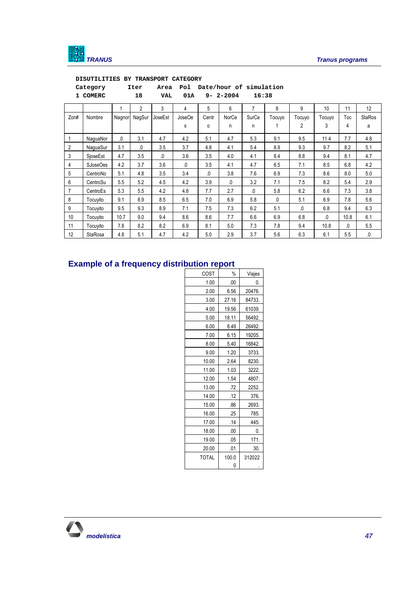![](_page_50_Picture_1.jpeg)

|      | 1 COMERC |        | 18             | <b>VAL</b> | 01A    | $9-$    | $2 - 2004$ | 16:38      |        |        |        |      |               |
|------|----------|--------|----------------|------------|--------|---------|------------|------------|--------|--------|--------|------|---------------|
|      |          | 1      | $\overline{2}$ | 3          | 4      | 5       | 6          | 7          | 8      | 9      | 10     | 11   | 12            |
| Zon# | Nombre   | Nagnor | NagSur         | JoseEst    | JoseOe | Centr   | NorCe      | SurCe      | Tocuyo | Tocuyo | Tocuyo | Toc  | <b>StaRos</b> |
|      |          |        |                |            | s      | $\circ$ | n          | n          |        | 2      | 3      | 4    | a             |
|      | NaguaNor | 0.     | 3.1            | 4.7        | 4.2    | 5.1     | 4.7        | 5.3        | 9.1    | 9.5    | 11.4   | 7.7  | 4.8           |
| 2    | NaquaSur | 3.1    | .0             | 3.5        | 3.7    | 4.8     | 4.1        | 5.4        | 8.9    | 9.3    | 9.7    | 8.2  | 5.1           |
| 3    | SioseEst | 4.7    | 3.5            | 0.         | 3.6    | 3.5     | 4.0        | 4.1        | 8.4    | 8.8    | 9.4    | 8.1  | 4.7           |
| 4    | SJoseOes | 4.2    | 3.7            | 3.6        | 0.     | 3.5     | 4.1        | 4.7        | 6.5    | 7.1    | 8.5    | 6.8  | 4.2           |
| 5    | CentroNo | 5.1    | 4.8            | 3.5        | 3.4    | .0      | 3.8        | 7.6        | 6.9    | 7.3    | 8.6    | 8.0  | 5.0           |
| 6    | CentroSu | 5.5    | 5.2            | 4.5        | 4.2    | 3.9     | .0         | 3.2        | 7.1    | 7.5    | 8.2    | 5.4  | 2.9           |
| 7    | CentroEs | 5.3    | 5.5            | 4.2        | 4.8    | 7.7     | 2.7        | $\Omega$ . | 5.8    | 6.2    | 6.6    | 7.3  | 3.8           |
| 8    | Tocuyito | 9.1    | 8.9            | 8.5        | 6.5    | 7.0     | 6.9        | 5.8        | .0     | 5.1    | 6.9    | 7.8  | 5.6           |
| 9    | Tocuyito | 9.5    | 9.3            | 8.9        | 7.1    | 7.5     | 7.3        | 6.2        | 5.1    | 0.     | 6.8    | 9.4  | 6.3           |
| 10   | Tocuyito | 10.7   | 9.0            | 9.4        | 8.6    | 8.6     | 7.7        | 6.6        | 6.9    | 6.8    | 0.     | 10.8 | 6.1           |
| 11   | Tocuvito | 7.8    | 8.2            | 8.2        | 6.9    | 8.1     | 5.0        | 7.3        | 7.8    | 9.4    | 10.8   | .0   | 5.5           |
| 12   | StaRosa  | 4.8    | 5.1            | 4.7        | 4.2    | 5.0     | 2.9        | 3.7        | 5.6    | 6.3    | 6.1    | 5.5  | .0            |

#### **DISUTILITIES BY TRANSPORT CATEGORY**

 **Category Iter Area Pol Date/hour of simulation** 

### **Example of a frequency distribution report**

| COST         | %     | Viajes |
|--------------|-------|--------|
| 1.00         | .00   | 0.     |
| 2.00         | 6.56  | 20476. |
| 3.00         | 27.16 | 84733. |
| 4.00         | 19.56 | 61039. |
| 5.00         | 18.11 | 56492. |
| 6.00         | 8.49  | 26492. |
| 7.00         | 6.15  | 19205. |
| 8.00         | 5.40  | 16842. |
| 9.00         | 1.20  | 3733.  |
| 10.00        | 2.64  | 8230.  |
| 11.00        | 1.03  | 3222.  |
| 12.00        | 1.54  | 4807.  |
| 13.00        | .72   | 2252.  |
| 14.00        | .12   | 376.   |
| 15.00        | .86   | 2693.  |
| 16.00        | .25   | 785.   |
| 17.00        | .14   | 445.   |
| 18.00        | .00   | 0.     |
| 19.00        | .05   | 171.   |
| 20.00        | .01   | 30.    |
| <b>TOTAL</b> | 100.0 | 312022 |
|              | 0     |        |

![](_page_50_Picture_7.jpeg)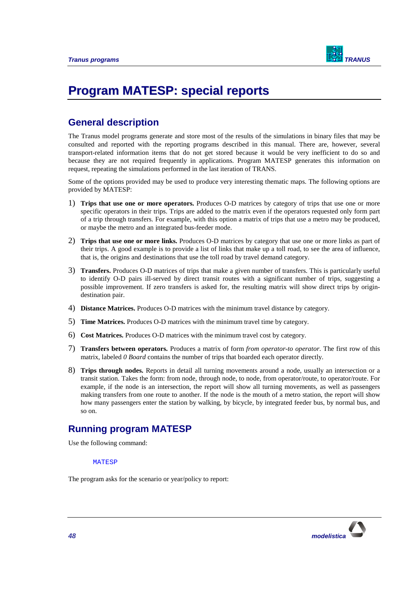![](_page_51_Picture_1.jpeg)

### **Program MATESP: special reports**

#### **General description**

The Tranus model programs generate and store most of the results of the simulations in binary files that may be consulted and reported with the reporting programs described in this manual. There are, however, several transport-related information items that do not get stored because it would be very inefficient to do so and because they are not required frequently in applications. Program MATESP generates this information on request, repeating the simulations performed in the last iteration of TRANS.

Some of the options provided may be used to produce very interesting thematic maps. The following options are provided by MATESP:

- 1) **Trips that use one or more operators.** Produces O-D matrices by category of trips that use one or more specific operators in their trips. Trips are added to the matrix even if the operators requested only form part of a trip through transfers. For example, with this option a matrix of trips that use a metro may be produced, or maybe the metro and an integrated bus-feeder mode.
- 2) **Trips that use one or more links.** Produces O-D matrices by category that use one or more links as part of their trips. A good example is to provide a list of links that make up a toll road, to see the area of influence, that is, the origins and destinations that use the toll road by travel demand category.
- 3) **Transfers.** Produces O-D matrices of trips that make a given number of transfers. This is particularly useful to identify O-D pairs ill-served by direct transit routes with a significant number of trips, suggesting a possible improvement. If zero transfers is asked for, the resulting matrix will show direct trips by origindestination pair.
- 4) **Distance Matrices.** Produces O-D matrices with the minimum travel distance by category.
- 5) **Time Matrices.** Produces O-D matrices with the minimum travel time by category.
- 6) **Cost Matrices.** Produces O-D matrices with the minimum travel cost by category.
- 7) **Transfers between operators.** Produces a matrix of form *from operator-to operator*. The first row of this matrix, labeled *0 Board* contains the number of trips that boarded each operator directly.
- 8) **Trips through nodes.** Reports in detail all turning movements around a node, usually an intersection or a transit station. Takes the form: from node, through node, to node, from operator/route, to operator/route. For example, if the node is an intersection, the report will show all turning movements, as well as passengers making transfers from one route to another. If the node is the mouth of a metro station, the report will show how many passengers enter the station by walking, by bicycle, by integrated feeder bus, by normal bus, and so on.

#### **Running program MATESP**

Use the following command:

#### MATESP

The program asks for the scenario or year/policy to report:

![](_page_51_Picture_18.jpeg)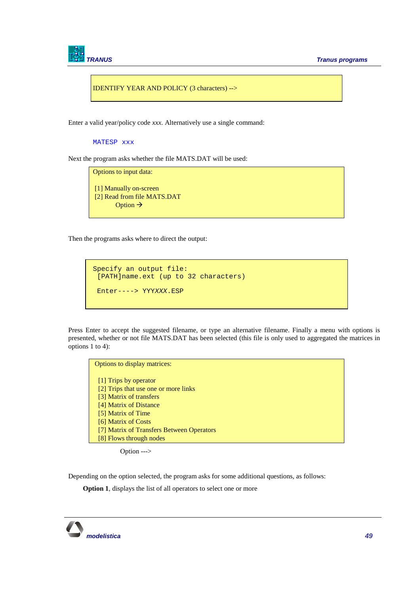![](_page_52_Picture_1.jpeg)

IDENTIFY YEAR AND POLICY (3 characters) -->

Enter a valid year/policy code *xxx*. Alternatively use a single command:

#### MATESP xxx

Next the program asks whether the file MATS.DAT will be used:

Options to input data:

[1] Manually on-screen [2] Read from file MATS.DAT Option  $\rightarrow$ 

Then the programs asks where to direct the output:

```
Specify an output file: 
  [PATH]name.ext (up to 32 characters) 
  Enter----> YYYXXX.ESP
```
Press Enter to accept the suggested filename, or type an alternative filename. Finally a menu with options is presented, whether or not file MATS.DAT has been selected (this file is only used to aggregated the matrices in options 1 to 4):

 Options to display matrices: [1] Trips by operator [2] Trips that use one or more links [3] Matrix of transfers [4] Matrix of Distance [5] Matrix of Time [6] Matrix of Costs [7] Matrix of Transfers Between Operators [8] Flows through nodes

Option --->

Depending on the option selected, the program asks for some additional questions, as follows:

**Option 1**, displays the list of all operators to select one or more

![](_page_52_Picture_15.jpeg)